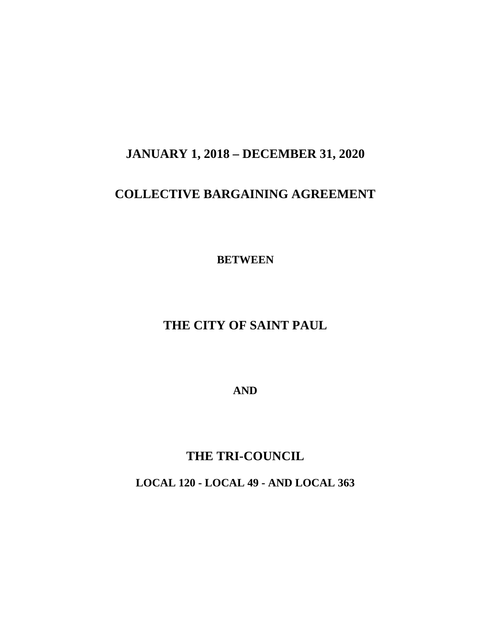## **JANUARY 1, 2018 – DECEMBER 31, 2020**

## **COLLECTIVE BARGAINING AGREEMENT**

**BETWEEN**

## **THE CITY OF SAINT PAUL**

**AND**

## **THE TRI-COUNCIL**

**LOCAL 120 - LOCAL 49 - AND LOCAL 363**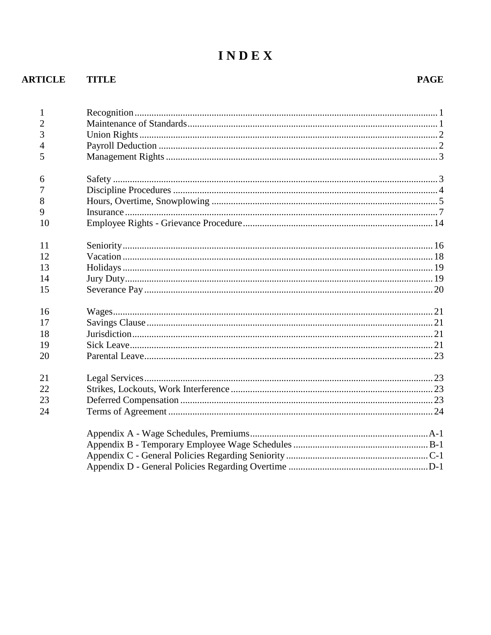# INDEX

### **ARTICLE TITLE**

#### **PAGE**

| $\mathbf{1}$<br>$\overline{2}$<br>3<br>$\overline{4}$<br>5 |  |
|------------------------------------------------------------|--|
|                                                            |  |
| 6                                                          |  |
| 7                                                          |  |
| 8                                                          |  |
| 9                                                          |  |
| 10                                                         |  |
| 11                                                         |  |
| 12                                                         |  |
| 13                                                         |  |
| 14                                                         |  |
| 15                                                         |  |
| 16                                                         |  |
| 17                                                         |  |
| 18                                                         |  |
| 19                                                         |  |
| 20                                                         |  |
| 21                                                         |  |
| 22                                                         |  |
| 23                                                         |  |
| 24                                                         |  |
|                                                            |  |
|                                                            |  |
|                                                            |  |
|                                                            |  |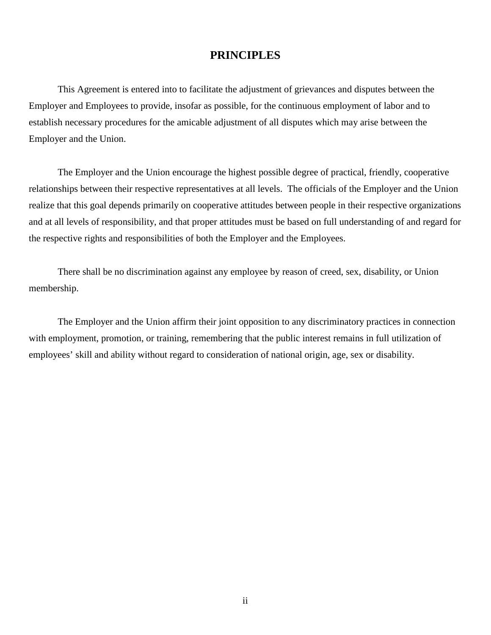#### **PRINCIPLES**

This Agreement is entered into to facilitate the adjustment of grievances and disputes between the Employer and Employees to provide, insofar as possible, for the continuous employment of labor and to establish necessary procedures for the amicable adjustment of all disputes which may arise between the Employer and the Union.

The Employer and the Union encourage the highest possible degree of practical, friendly, cooperative relationships between their respective representatives at all levels. The officials of the Employer and the Union realize that this goal depends primarily on cooperative attitudes between people in their respective organizations and at all levels of responsibility, and that proper attitudes must be based on full understanding of and regard for the respective rights and responsibilities of both the Employer and the Employees.

There shall be no discrimination against any employee by reason of creed, sex, disability, or Union membership.

The Employer and the Union affirm their joint opposition to any discriminatory practices in connection with employment, promotion, or training, remembering that the public interest remains in full utilization of employees' skill and ability without regard to consideration of national origin, age, sex or disability.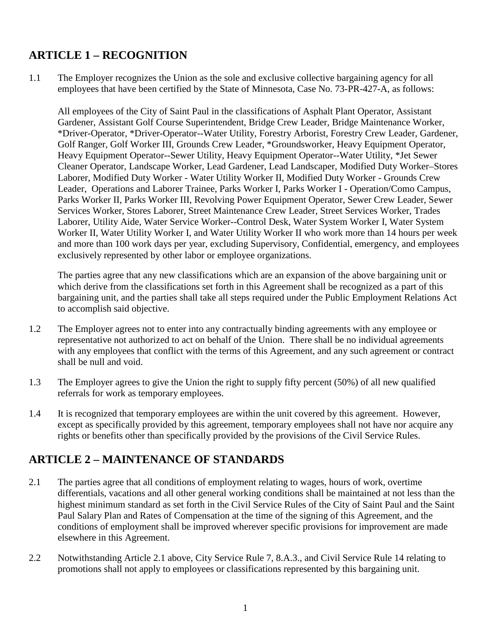### **ARTICLE 1 – RECOGNITION**

1.1 The Employer recognizes the Union as the sole and exclusive collective bargaining agency for all employees that have been certified by the State of Minnesota, Case No. 73-PR-427-A, as follows:

<span id="page-3-0"></span>All employees of the City of Saint Paul in the classifications of Asphalt Plant Operator, Assistant Gardener, Assistant Golf Course Superintendent, Bridge Crew Leader, Bridge Maintenance Worker, \*Driver-Operator, \*Driver-Operator--Water Utility, Forestry Arborist, Forestry Crew Leader, Gardener, Golf Ranger, Golf Worker III, Grounds Crew Leader, \*Groundsworker, Heavy Equipment Operator, Heavy Equipment Operator--Sewer Utility, Heavy Equipment Operator--Water Utility, \*Jet Sewer Cleaner Operator, Landscape Worker, Lead Gardener, Lead Landscaper, Modified Duty Worker–Stores Laborer, Modified Duty Worker - Water Utility Worker II, Modified Duty Worker - Grounds Crew Leader, Operations and Laborer Trainee, Parks Worker I, Parks Worker I - Operation/Como Campus, Parks Worker II, Parks Worker III, Revolving Power Equipment Operator, Sewer Crew Leader, Sewer Services Worker, Stores Laborer, Street Maintenance Crew Leader, Street Services Worker, Trades Laborer, Utility Aide, Water Service Worker--Control Desk, Water System Worker I, Water System Worker II, Water Utility Worker I, and Water Utility Worker II who work more than 14 hours per week and more than 100 work days per year, excluding Supervisory, Confidential, emergency, and employees exclusively represented by other labor or employee organizations.

The parties agree that any new classifications which are an expansion of the above bargaining unit or which derive from the classifications set forth in this Agreement shall be recognized as a part of this bargaining unit, and the parties shall take all steps required under the Public Employment Relations Act to accomplish said objective.

- 1.2 The Employer agrees not to enter into any contractually binding agreements with any employee or representative not authorized to act on behalf of the Union. There shall be no individual agreements with any employees that conflict with the terms of this Agreement, and any such agreement or contract shall be null and void.
- 1.3 The Employer agrees to give the Union the right to supply fifty percent (50%) of all new qualified referrals for work as temporary employees.
- 1.4 It is recognized that temporary employees are within the unit covered by this agreement. However, except as specifically provided by this agreement, temporary employees shall not have nor acquire any rights or benefits other than specifically provided by the provisions of the Civil Service Rules.

### <span id="page-3-1"></span>**ARTICLE 2 – MAINTENANCE OF STANDARDS**

- 2.1 The parties agree that all conditions of employment relating to wages, hours of work, overtime differentials, vacations and all other general working conditions shall be maintained at not less than the highest minimum standard as set forth in the Civil Service Rules of the City of Saint Paul and the Saint Paul Salary Plan and Rates of Compensation at the time of the signing of this Agreement, and the conditions of employment shall be improved wherever specific provisions for improvement are made elsewhere in this Agreement.
- 2.2 Notwithstanding Article 2.1 above, City Service Rule 7, 8.A.3., and Civil Service Rule 14 relating to promotions shall not apply to employees or classifications represented by this bargaining unit.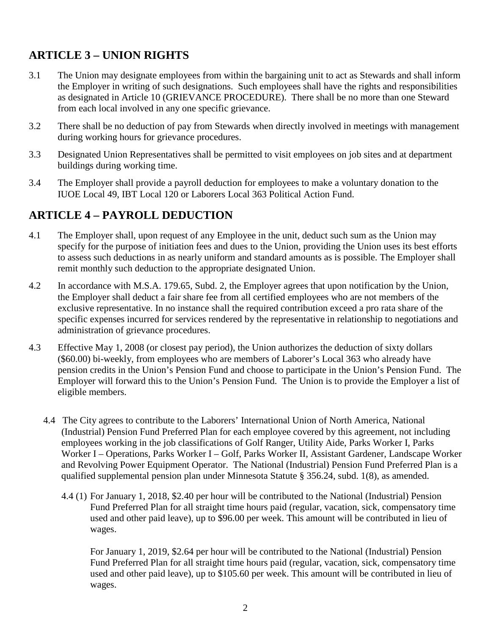### <span id="page-4-0"></span>**ARTICLE 3 – UNION RIGHTS**

- 3.1 The Union may designate employees from within the bargaining unit to act as Stewards and shall inform the Employer in writing of such designations. Such employees shall have the rights and responsibilities as designated in Article 10 (GRIEVANCE PROCEDURE). There shall be no more than one Steward from each local involved in any one specific grievance.
- 3.2 There shall be no deduction of pay from Stewards when directly involved in meetings with management during working hours for grievance procedures.
- 3.3 Designated Union Representatives shall be permitted to visit employees on job sites and at department buildings during working time.
- 3.4 The Employer shall provide a payroll deduction for employees to make a voluntary donation to the IUOE Local 49, IBT Local 120 or Laborers Local 363 Political Action Fund.

### <span id="page-4-1"></span>**ARTICLE 4 – PAYROLL DEDUCTION**

- 4.1 The Employer shall, upon request of any Employee in the unit, deduct such sum as the Union may specify for the purpose of initiation fees and dues to the Union, providing the Union uses its best efforts to assess such deductions in as nearly uniform and standard amounts as is possible. The Employer shall remit monthly such deduction to the appropriate designated Union.
- 4.2 In accordance with M.S.A. 179.65, Subd. 2, the Employer agrees that upon notification by the Union, the Employer shall deduct a fair share fee from all certified employees who are not members of the exclusive representative. In no instance shall the required contribution exceed a pro rata share of the specific expenses incurred for services rendered by the representative in relationship to negotiations and administration of grievance procedures.
- 4.3 Effective May 1, 2008 (or closest pay period), the Union authorizes the deduction of sixty dollars (\$60.00) bi-weekly, from employees who are members of Laborer's Local 363 who already have pension credits in the Union's Pension Fund and choose to participate in the Union's Pension Fund. The Employer will forward this to the Union's Pension Fund. The Union is to provide the Employer a list of eligible members.
	- 4.4 The City agrees to contribute to the Laborers' International Union of North America, National (Industrial) Pension Fund Preferred Plan for each employee covered by this agreement, not including employees working in the job classifications of Golf Ranger, Utility Aide, Parks Worker I, Parks Worker I – Operations, Parks Worker I – Golf, Parks Worker II, Assistant Gardener, Landscape Worker and Revolving Power Equipment Operator. The National (Industrial) Pension Fund Preferred Plan is a qualified supplemental pension plan under Minnesota Statute § 356.24, subd. 1(8), as amended.
		- 4.4 (1) For January 1, 2018, \$2.40 per hour will be contributed to the National (Industrial) Pension Fund Preferred Plan for all straight time hours paid (regular, vacation, sick, compensatory time used and other paid leave), up to \$96.00 per week. This amount will be contributed in lieu of wages.

For January 1, 2019, \$2.64 per hour will be contributed to the National (Industrial) Pension Fund Preferred Plan for all straight time hours paid (regular, vacation, sick, compensatory time used and other paid leave), up to \$105.60 per week. This amount will be contributed in lieu of wages.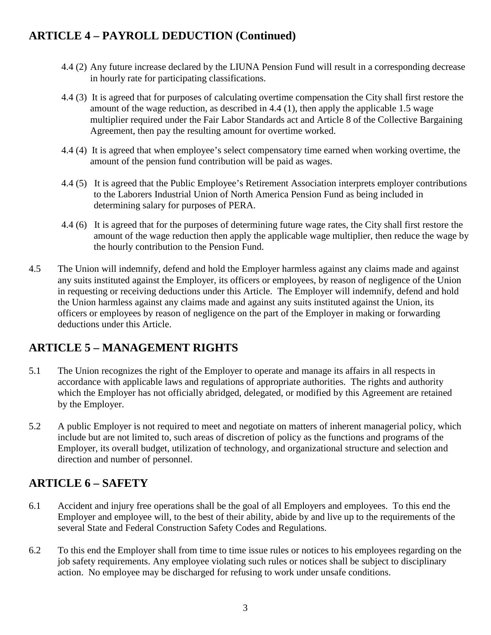### **ARTICLE 4 – PAYROLL DEDUCTION (Continued)**

- 4.4 (2) Any future increase declared by the LIUNA Pension Fund will result in a corresponding decrease in hourly rate for participating classifications.
- 4.4 (3) It is agreed that for purposes of calculating overtime compensation the City shall first restore the amount of the wage reduction, as described in 4.4 (1), then apply the applicable 1.5 wage multiplier required under the Fair Labor Standards act and Article 8 of the Collective Bargaining Agreement, then pay the resulting amount for overtime worked.
- 4.4 (4) It is agreed that when employee's select compensatory time earned when working overtime, the amount of the pension fund contribution will be paid as wages.
- 4.4 (5) It is agreed that the Public Employee's Retirement Association interprets employer contributions to the Laborers Industrial Union of North America Pension Fund as being included in determining salary for purposes of PERA.
- 4.4 (6) It is agreed that for the purposes of determining future wage rates, the City shall first restore the amount of the wage reduction then apply the applicable wage multiplier, then reduce the wage by the hourly contribution to the Pension Fund.
- 4.5 The Union will indemnify, defend and hold the Employer harmless against any claims made and against any suits instituted against the Employer, its officers or employees, by reason of negligence of the Union in requesting or receiving deductions under this Article. The Employer will indemnify, defend and hold the Union harmless against any claims made and against any suits instituted against the Union, its officers or employees by reason of negligence on the part of the Employer in making or forwarding deductions under this Article.

### <span id="page-5-0"></span>**ARTICLE 5 – MANAGEMENT RIGHTS**

- 5.1 The Union recognizes the right of the Employer to operate and manage its affairs in all respects in accordance with applicable laws and regulations of appropriate authorities. The rights and authority which the Employer has not officially abridged, delegated, or modified by this Agreement are retained by the Employer.
- 5.2 A public Employer is not required to meet and negotiate on matters of inherent managerial policy, which include but are not limited to, such areas of discretion of policy as the functions and programs of the Employer, its overall budget, utilization of technology, and organizational structure and selection and direction and number of personnel.

### <span id="page-5-1"></span>**ARTICLE 6 – SAFETY**

- 6.1 Accident and injury free operations shall be the goal of all Employers and employees. To this end the Employer and employee will, to the best of their ability, abide by and live up to the requirements of the several State and Federal Construction Safety Codes and Regulations.
- 6.2 To this end the Employer shall from time to time issue rules or notices to his employees regarding on the job safety requirements. Any employee violating such rules or notices shall be subject to disciplinary action. No employee may be discharged for refusing to work under unsafe conditions.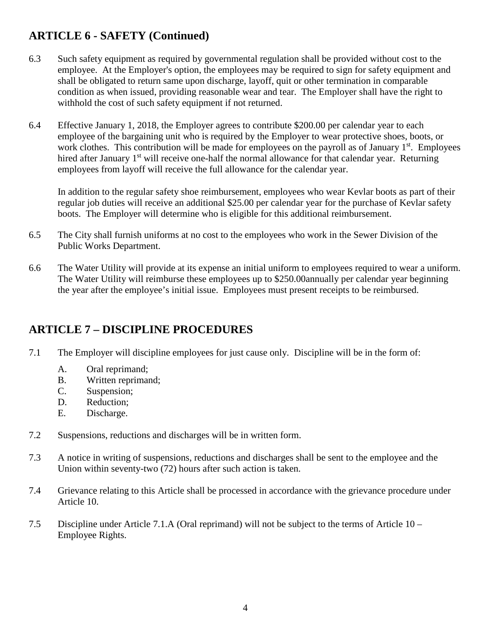### **ARTICLE 6 - SAFETY (Continued)**

- 6.3 Such safety equipment as required by governmental regulation shall be provided without cost to the employee. At the Employer's option, the employees may be required to sign for safety equipment and shall be obligated to return same upon discharge, layoff, quit or other termination in comparable condition as when issued, providing reasonable wear and tear. The Employer shall have the right to withhold the cost of such safety equipment if not returned.
- 6.4 Effective January 1, 2018, the Employer agrees to contribute \$200.00 per calendar year to each employee of the bargaining unit who is required by the Employer to wear protective shoes, boots, or work clothes. This contribution will be made for employees on the payroll as of January 1<sup>st</sup>. Employees hired after January 1<sup>st</sup> will receive one-half the normal allowance for that calendar year. Returning employees from layoff will receive the full allowance for the calendar year.

In addition to the regular safety shoe reimbursement, employees who wear Kevlar boots as part of their regular job duties will receive an additional \$25.00 per calendar year for the purchase of Kevlar safety boots. The Employer will determine who is eligible for this additional reimbursement.

- 6.5 The City shall furnish uniforms at no cost to the employees who work in the Sewer Division of the Public Works Department.
- 6.6 The Water Utility will provide at its expense an initial uniform to employees required to wear a uniform. The Water Utility will reimburse these employees up to \$250.00annually per calendar year beginning the year after the employee's initial issue. Employees must present receipts to be reimbursed.

### <span id="page-6-0"></span>**ARTICLE 7 – DISCIPLINE PROCEDURES**

- 7.1 The Employer will discipline employees for just cause only. Discipline will be in the form of:
	- A. Oral reprimand;
	- B. Written reprimand;
	- C. Suspension;
	- D. Reduction;
	- E. Discharge.
- 7.2 Suspensions, reductions and discharges will be in written form.
- 7.3 A notice in writing of suspensions, reductions and discharges shall be sent to the employee and the Union within seventy-two (72) hours after such action is taken.
- 7.4 Grievance relating to this Article shall be processed in accordance with the grievance procedure under Article 10.
- 7.5 Discipline under Article 7.1.A (Oral reprimand) will not be subject to the terms of Article 10 Employee Rights.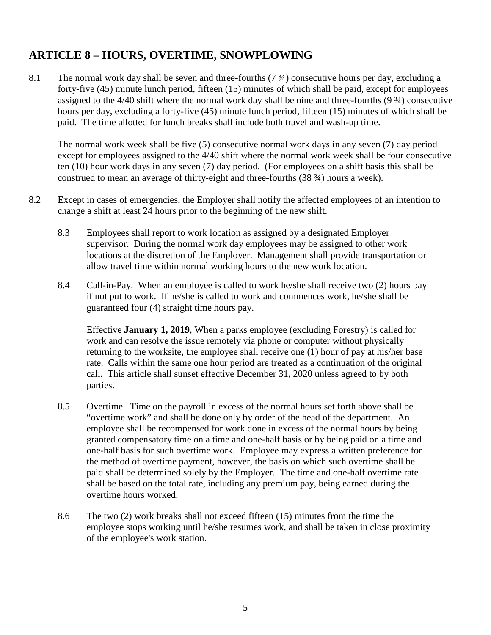### **ARTICLE 8 – HOURS, OVERTIME, SNOWPLOWING**

8.1 The normal work day shall be seven and three-fourths (7 ¾) consecutive hours per day, excluding a forty-five (45) minute lunch period, fifteen (15) minutes of which shall be paid, except for employees assigned to the 4/40 shift where the normal work day shall be nine and three-fourths (9 ¾) consecutive hours per day, excluding a forty-five (45) minute lunch period, fifteen (15) minutes of which shall be paid. The time allotted for lunch breaks shall include both travel and wash-up time.

<span id="page-7-0"></span>The normal work week shall be five (5) consecutive normal work days in any seven (7) day period except for employees assigned to the 4/40 shift where the normal work week shall be four consecutive ten (10) hour work days in any seven (7) day period. (For employees on a shift basis this shall be construed to mean an average of thirty-eight and three-fourths (38 ¾) hours a week).

- 8.2 Except in cases of emergencies, the Employer shall notify the affected employees of an intention to change a shift at least 24 hours prior to the beginning of the new shift.
	- 8.3 Employees shall report to work location as assigned by a designated Employer supervisor. During the normal work day employees may be assigned to other work locations at the discretion of the Employer. Management shall provide transportation or allow travel time within normal working hours to the new work location.
	- 8.4 Call-in-Pay. When an employee is called to work he/she shall receive two (2) hours pay if not put to work. If he/she is called to work and commences work, he/she shall be guaranteed four (4) straight time hours pay.

Effective **January 1, 2019**, When a parks employee (excluding Forestry) is called for work and can resolve the issue remotely via phone or computer without physically returning to the worksite, the employee shall receive one (1) hour of pay at his/her base rate. Calls within the same one hour period are treated as a continuation of the original call. This article shall sunset effective December 31, 2020 unless agreed to by both parties.

- 8.5 Overtime. Time on the payroll in excess of the normal hours set forth above shall be "overtime work" and shall be done only by order of the head of the department. An employee shall be recompensed for work done in excess of the normal hours by being granted compensatory time on a time and one-half basis or by being paid on a time and one-half basis for such overtime work. Employee may express a written preference for the method of overtime payment, however, the basis on which such overtime shall be paid shall be determined solely by the Employer. The time and one-half overtime rate shall be based on the total rate, including any premium pay, being earned during the overtime hours worked.
- 8.6 The two (2) work breaks shall not exceed fifteen (15) minutes from the time the employee stops working until he/she resumes work, and shall be taken in close proximity of the employee's work station.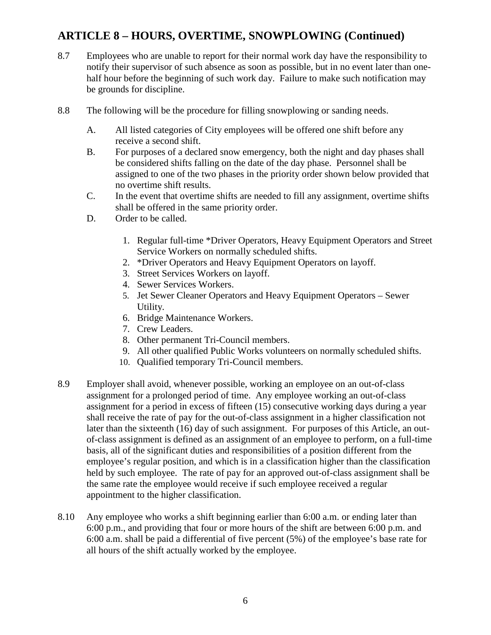### **ARTICLE 8 – HOURS, OVERTIME, SNOWPLOWING (Continued)**

- 8.7 Employees who are unable to report for their normal work day have the responsibility to notify their supervisor of such absence as soon as possible, but in no event later than onehalf hour before the beginning of such work day. Failure to make such notification may be grounds for discipline.
- 8.8 The following will be the procedure for filling snowplowing or sanding needs.
	- A. All listed categories of City employees will be offered one shift before any receive a second shift.
	- B. For purposes of a declared snow emergency, both the night and day phases shall be considered shifts falling on the date of the day phase. Personnel shall be assigned to one of the two phases in the priority order shown below provided that no overtime shift results.
	- C. In the event that overtime shifts are needed to fill any assignment, overtime shifts shall be offered in the same priority order.
	- D. Order to be called.
		- 1. Regular full-time \*Driver Operators, Heavy Equipment Operators and Street Service Workers on normally scheduled shifts.
		- 2. \*Driver Operators and Heavy Equipment Operators on layoff.
		- 3. Street Services Workers on layoff.
		- 4. Sewer Services Workers.
		- 5. Jet Sewer Cleaner Operators and Heavy Equipment Operators Sewer Utility.
		- 6. Bridge Maintenance Workers.
		- 7. Crew Leaders.
		- 8. Other permanent Tri-Council members.
		- 9. All other qualified Public Works volunteers on normally scheduled shifts.
		- 10. Qualified temporary Tri-Council members.
- 8.9 Employer shall avoid, whenever possible, working an employee on an out-of-class assignment for a prolonged period of time. Any employee working an out-of-class assignment for a period in excess of fifteen (15) consecutive working days during a year shall receive the rate of pay for the out-of-class assignment in a higher classification not later than the sixteenth (16) day of such assignment. For purposes of this Article, an outof-class assignment is defined as an assignment of an employee to perform, on a full-time basis, all of the significant duties and responsibilities of a position different from the employee's regular position, and which is in a classification higher than the classification held by such employee. The rate of pay for an approved out-of-class assignment shall be the same rate the employee would receive if such employee received a regular appointment to the higher classification.
- 8.10 Any employee who works a shift beginning earlier than 6:00 a.m. or ending later than 6:00 p.m., and providing that four or more hours of the shift are between 6:00 p.m. and 6:00 a.m. shall be paid a differential of five percent (5%) of the employee's base rate for all hours of the shift actually worked by the employee.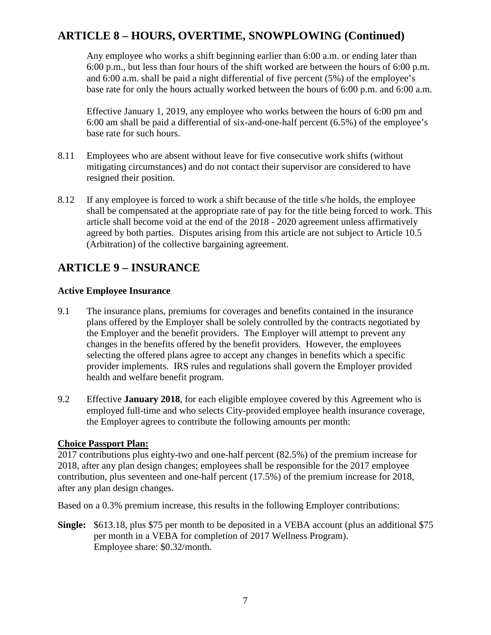### **ARTICLE 8 – HOURS, OVERTIME, SNOWPLOWING (Continued)**

Any employee who works a shift beginning earlier than 6:00 a.m. or ending later than 6:00 p.m., but less than four hours of the shift worked are between the hours of 6:00 p.m. and 6:00 a.m. shall be paid a night differential of five percent (5%) of the employee's base rate for only the hours actually worked between the hours of 6:00 p.m. and 6:00 a.m.

Effective January 1, 2019, any employee who works between the hours of 6:00 pm and 6:00 am shall be paid a differential of six-and-one-half percent (6.5%) of the employee's base rate for such hours.

- 8.11 Employees who are absent without leave for five consecutive work shifts (without mitigating circumstances) and do not contact their supervisor are considered to have resigned their position.
- 8.12 If any employee is forced to work a shift because of the title s/he holds, the employee shall be compensated at the appropriate rate of pay for the title being forced to work. This article shall become void at the end of the 2018 - 2020 agreement unless affirmatively agreed by both parties. Disputes arising from this article are not subject to Article 10.5 (Arbitration) of the collective bargaining agreement.

### <span id="page-9-0"></span>**ARTICLE 9 – INSURANCE**

#### **Active Employee Insurance**

- 9.1 The insurance plans, premiums for coverages and benefits contained in the insurance plans offered by the Employer shall be solely controlled by the contracts negotiated by the Employer and the benefit providers. The Employer will attempt to prevent any changes in the benefits offered by the benefit providers. However, the employees selecting the offered plans agree to accept any changes in benefits which a specific provider implements. IRS rules and regulations shall govern the Employer provided health and welfare benefit program.
- 9.2 Effective **January 2018**, for each eligible employee covered by this Agreement who is employed full-time and who selects City-provided employee health insurance coverage, the Employer agrees to contribute the following amounts per month:

#### **Choice Passport Plan:**

2017 contributions plus eighty-two and one-half percent (82.5%) of the premium increase for 2018, after any plan design changes; employees shall be responsible for the 2017 employee contribution, plus seventeen and one-half percent (17.5%) of the premium increase for 2018, after any plan design changes.

Based on a 0.3% premium increase, this results in the following Employer contributions:

**Single:** \$613.18, plus \$75 per month to be deposited in a VEBA account (plus an additional \$75 per month in a VEBA for completion of 2017 Wellness Program). Employee share: \$0.32/month.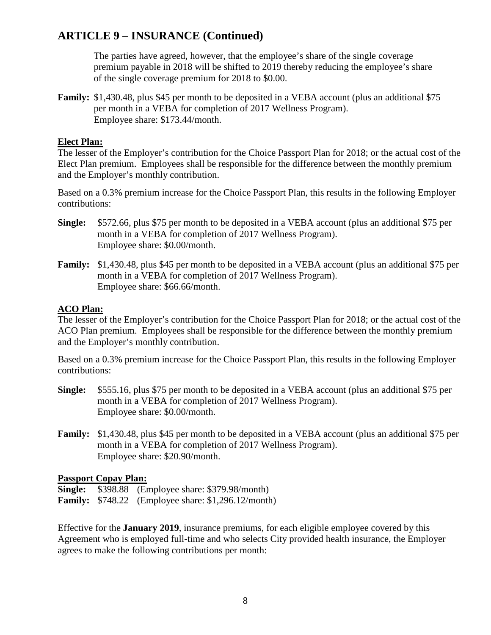The parties have agreed, however, that the employee's share of the single coverage premium payable in 2018 will be shifted to 2019 thereby reducing the employee's share of the single coverage premium for 2018 to \$0.00.

**Family:** \$1,430.48, plus \$45 per month to be deposited in a VEBA account (plus an additional \$75 per month in a VEBA for completion of 2017 Wellness Program). Employee share: \$173.44/month.

#### **Elect Plan:**

The lesser of the Employer's contribution for the Choice Passport Plan for 2018; or the actual cost of the Elect Plan premium. Employees shall be responsible for the difference between the monthly premium and the Employer's monthly contribution.

Based on a 0.3% premium increase for the Choice Passport Plan, this results in the following Employer contributions:

- **Single:** \$572.66, plus \$75 per month to be deposited in a VEBA account (plus an additional \$75 per month in a VEBA for completion of 2017 Wellness Program). Employee share: \$0.00/month.
- **Family:** \$1,430.48, plus \$45 per month to be deposited in a VEBA account (plus an additional \$75 per month in a VEBA for completion of 2017 Wellness Program). Employee share: \$66.66/month.

#### **ACO Plan:**

The lesser of the Employer's contribution for the Choice Passport Plan for 2018; or the actual cost of the ACO Plan premium. Employees shall be responsible for the difference between the monthly premium and the Employer's monthly contribution.

Based on a 0.3% premium increase for the Choice Passport Plan, this results in the following Employer contributions:

- **Single:** \$555.16, plus \$75 per month to be deposited in a VEBA account (plus an additional \$75 per month in a VEBA for completion of 2017 Wellness Program). Employee share: \$0.00/month.
- **Family:** \$1,430.48, plus \$45 per month to be deposited in a VEBA account (plus an additional \$75 per month in a VEBA for completion of 2017 Wellness Program). Employee share: \$20.90/month.

#### **Passport Copay Plan:**

**Single:** \$398.88 (Employee share: \$379.98/month) **Family:** \$748.22 (Employee share: \$1,296.12/month)

Effective for the **January 2019**, insurance premiums, for each eligible employee covered by this Agreement who is employed full-time and who selects City provided health insurance, the Employer agrees to make the following contributions per month: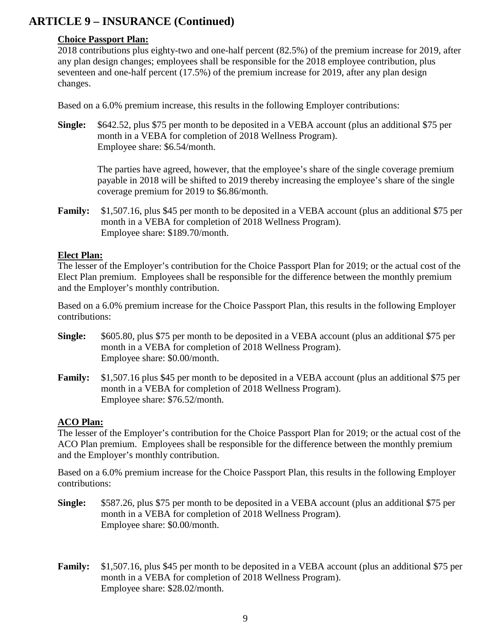#### **Choice Passport Plan:**

2018 contributions plus eighty-two and one-half percent (82.5%) of the premium increase for 2019, after any plan design changes; employees shall be responsible for the 2018 employee contribution, plus seventeen and one-half percent (17.5%) of the premium increase for 2019, after any plan design changes.

Based on a 6.0% premium increase, this results in the following Employer contributions:

**Single:** \$642.52, plus \$75 per month to be deposited in a VEBA account (plus an additional \$75 per month in a VEBA for completion of 2018 Wellness Program). Employee share: \$6.54/month.

The parties have agreed, however, that the employee's share of the single coverage premium payable in 2018 will be shifted to 2019 thereby increasing the employee's share of the single coverage premium for 2019 to \$6.86/month.

**Family:** \$1,507.16, plus \$45 per month to be deposited in a VEBA account (plus an additional \$75 per month in a VEBA for completion of 2018 Wellness Program). Employee share: \$189.70/month.

#### **Elect Plan:**

The lesser of the Employer's contribution for the Choice Passport Plan for 2019; or the actual cost of the Elect Plan premium. Employees shall be responsible for the difference between the monthly premium and the Employer's monthly contribution.

Based on a 6.0% premium increase for the Choice Passport Plan, this results in the following Employer contributions:

- **Single:** \$605.80, plus \$75 per month to be deposited in a VEBA account (plus an additional \$75 per month in a VEBA for completion of 2018 Wellness Program). Employee share: \$0.00/month.
- **Family:** \$1,507.16 plus \$45 per month to be deposited in a VEBA account (plus an additional \$75 per month in a VEBA for completion of 2018 Wellness Program). Employee share: \$76.52/month.

#### **ACO Plan:**

The lesser of the Employer's contribution for the Choice Passport Plan for 2019; or the actual cost of the ACO Plan premium. Employees shall be responsible for the difference between the monthly premium and the Employer's monthly contribution.

Based on a 6.0% premium increase for the Choice Passport Plan, this results in the following Employer contributions:

- **Single:** \$587.26, plus \$75 per month to be deposited in a VEBA account (plus an additional \$75 per month in a VEBA for completion of 2018 Wellness Program). Employee share: \$0.00/month.
- **Family:** \$1,507.16, plus \$45 per month to be deposited in a VEBA account (plus an additional \$75 per month in a VEBA for completion of 2018 Wellness Program). Employee share: \$28.02/month.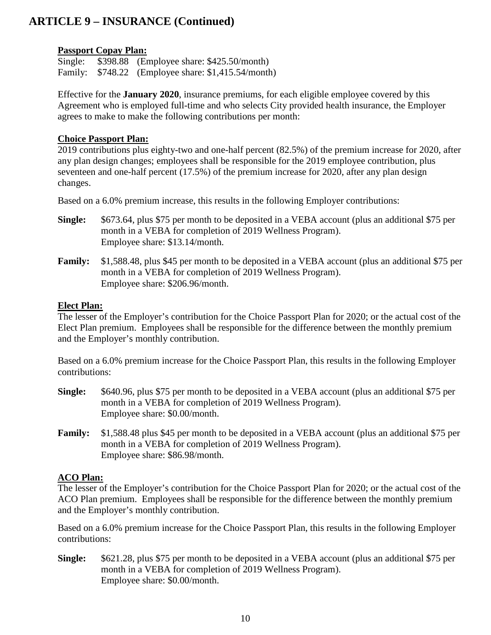#### **Passport Copay Plan:**

Single: \$398.88 (Employee share: \$425.50/month) Family: \$748.22 (Employee share: \$1,415.54/month)

Effective for the **January 2020**, insurance premiums, for each eligible employee covered by this Agreement who is employed full-time and who selects City provided health insurance, the Employer agrees to make to make the following contributions per month:

#### **Choice Passport Plan:**

2019 contributions plus eighty-two and one-half percent (82.5%) of the premium increase for 2020, after any plan design changes; employees shall be responsible for the 2019 employee contribution, plus seventeen and one-half percent (17.5%) of the premium increase for 2020, after any plan design changes.

Based on a 6.0% premium increase, this results in the following Employer contributions:

- **Single:** \$673.64, plus \$75 per month to be deposited in a VEBA account (plus an additional \$75 per month in a VEBA for completion of 2019 Wellness Program). Employee share: \$13.14/month.
- **Family:** \$1,588.48, plus \$45 per month to be deposited in a VEBA account (plus an additional \$75 per month in a VEBA for completion of 2019 Wellness Program). Employee share: \$206.96/month.

#### **Elect Plan:**

The lesser of the Employer's contribution for the Choice Passport Plan for 2020; or the actual cost of the Elect Plan premium. Employees shall be responsible for the difference between the monthly premium and the Employer's monthly contribution.

Based on a 6.0% premium increase for the Choice Passport Plan, this results in the following Employer contributions:

- **Single:** \$640.96, plus \$75 per month to be deposited in a VEBA account (plus an additional \$75 per month in a VEBA for completion of 2019 Wellness Program). Employee share: \$0.00/month.
- **Family:** \$1,588.48 plus \$45 per month to be deposited in a VEBA account (plus an additional \$75 per month in a VEBA for completion of 2019 Wellness Program). Employee share: \$86.98/month.

### **ACO Plan:**

The lesser of the Employer's contribution for the Choice Passport Plan for 2020; or the actual cost of the ACO Plan premium. Employees shall be responsible for the difference between the monthly premium and the Employer's monthly contribution.

Based on a 6.0% premium increase for the Choice Passport Plan, this results in the following Employer contributions:

**Single:** \$621.28, plus \$75 per month to be deposited in a VEBA account (plus an additional \$75 per month in a VEBA for completion of 2019 Wellness Program). Employee share: \$0.00/month.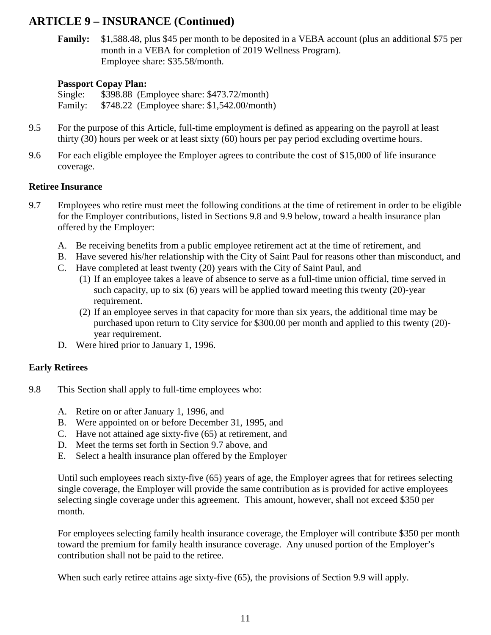**Family:** \$1,588.48, plus \$45 per month to be deposited in a VEBA account (plus an additional \$75 per month in a VEBA for completion of 2019 Wellness Program). Employee share: \$35.58/month.

#### **Passport Copay Plan:**

Single: \$398.88 (Employee share: \$473.72/month) Family: \$748.22 (Employee share: \$1,542.00/month)

- 9.5 For the purpose of this Article, full-time employment is defined as appearing on the payroll at least thirty (30) hours per week or at least sixty (60) hours per pay period excluding overtime hours.
- 9.6 For each eligible employee the Employer agrees to contribute the cost of \$15,000 of life insurance coverage.

#### **Retiree Insurance**

- 9.7 Employees who retire must meet the following conditions at the time of retirement in order to be eligible for the Employer contributions, listed in Sections 9.8 and 9.9 below, toward a health insurance plan offered by the Employer:
	- A. Be receiving benefits from a public employee retirement act at the time of retirement, and
	- B. Have severed his/her relationship with the City of Saint Paul for reasons other than misconduct, and
	- C. Have completed at least twenty (20) years with the City of Saint Paul, and
		- (1) If an employee takes a leave of absence to serve as a full-time union official, time served in such capacity, up to six (6) years will be applied toward meeting this twenty (20)-year requirement.
		- (2) If an employee serves in that capacity for more than six years, the additional time may be purchased upon return to City service for \$300.00 per month and applied to this twenty (20) year requirement.
	- D. Were hired prior to January 1, 1996.

#### **Early Retirees**

- 9.8 This Section shall apply to full-time employees who:
	- A. Retire on or after January 1, 1996, and
	- B. Were appointed on or before December 31, 1995, and
	- C. Have not attained age sixty-five (65) at retirement, and
	- D. Meet the terms set forth in Section 9.7 above, and
	- E. Select a health insurance plan offered by the Employer

Until such employees reach sixty-five (65) years of age, the Employer agrees that for retirees selecting single coverage, the Employer will provide the same contribution as is provided for active employees selecting single coverage under this agreement. This amount, however, shall not exceed \$350 per month.

For employees selecting family health insurance coverage, the Employer will contribute \$350 per month toward the premium for family health insurance coverage. Any unused portion of the Employer's contribution shall not be paid to the retiree.

When such early retiree attains age sixty-five (65), the provisions of Section 9.9 will apply.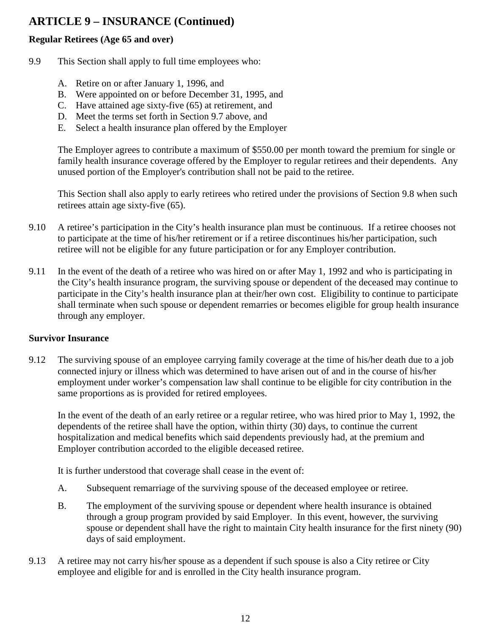#### **Regular Retirees (Age 65 and over)**

- 9.9 This Section shall apply to full time employees who:
	- A. Retire on or after January 1, 1996, and
	- B. Were appointed on or before December 31, 1995, and
	- C. Have attained age sixty-five (65) at retirement, and
	- D. Meet the terms set forth in Section 9.7 above, and
	- E. Select a health insurance plan offered by the Employer

The Employer agrees to contribute a maximum of \$550.00 per month toward the premium for single or family health insurance coverage offered by the Employer to regular retirees and their dependents. Any unused portion of the Employer's contribution shall not be paid to the retiree.

This Section shall also apply to early retirees who retired under the provisions of Section 9.8 when such retirees attain age sixty-five (65).

- 9.10 A retiree's participation in the City's health insurance plan must be continuous. If a retiree chooses not to participate at the time of his/her retirement or if a retiree discontinues his/her participation, such retiree will not be eligible for any future participation or for any Employer contribution.
- 9.11 In the event of the death of a retiree who was hired on or after May 1, 1992 and who is participating in the City's health insurance program, the surviving spouse or dependent of the deceased may continue to participate in the City's health insurance plan at their/her own cost. Eligibility to continue to participate shall terminate when such spouse or dependent remarries or becomes eligible for group health insurance through any employer.

#### **Survivor Insurance**

9.12 The surviving spouse of an employee carrying family coverage at the time of his/her death due to a job connected injury or illness which was determined to have arisen out of and in the course of his/her employment under worker's compensation law shall continue to be eligible for city contribution in the same proportions as is provided for retired employees.

In the event of the death of an early retiree or a regular retiree, who was hired prior to May 1, 1992, the dependents of the retiree shall have the option, within thirty (30) days, to continue the current hospitalization and medical benefits which said dependents previously had, at the premium and Employer contribution accorded to the eligible deceased retiree.

It is further understood that coverage shall cease in the event of:

- A. Subsequent remarriage of the surviving spouse of the deceased employee or retiree.
- B. The employment of the surviving spouse or dependent where health insurance is obtained through a group program provided by said Employer. In this event, however, the surviving spouse or dependent shall have the right to maintain City health insurance for the first ninety (90) days of said employment.
- 9.13 A retiree may not carry his/her spouse as a dependent if such spouse is also a City retiree or City employee and eligible for and is enrolled in the City health insurance program.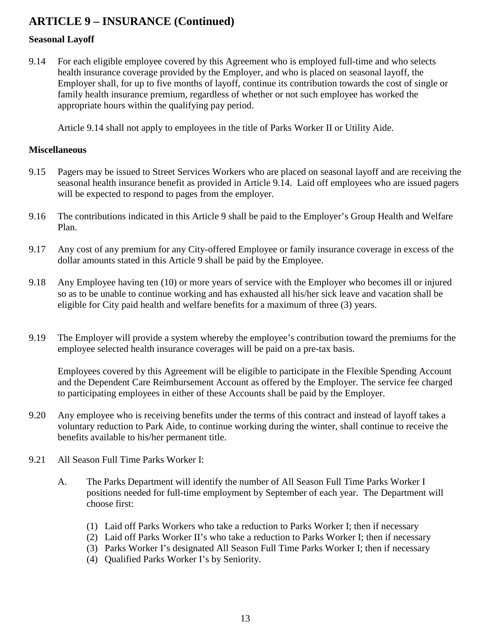#### **Seasonal Layoff**

9.14 For each eligible employee covered by this Agreement who is employed full-time and who selects health insurance coverage provided by the Employer, and who is placed on seasonal layoff, the Employer shall, for up to five months of layoff, continue its contribution towards the cost of single or family health insurance premium, regardless of whether or not such employee has worked the appropriate hours within the qualifying pay period.

Article 9.14 shall not apply to employees in the title of Parks Worker II or Utility Aide.

#### **Miscellaneous**

- 9.15 Pagers may be issued to Street Services Workers who are placed on seasonal layoff and are receiving the seasonal health insurance benefit as provided in Article 9.14. Laid off employees who are issued pagers will be expected to respond to pages from the employer.
- 9.16 The contributions indicated in this Article 9 shall be paid to the Employer's Group Health and Welfare Plan.
- 9.17 Any cost of any premium for any City-offered Employee or family insurance coverage in excess of the dollar amounts stated in this Article 9 shall be paid by the Employee.
- 9.18 Any Employee having ten (10) or more years of service with the Employer who becomes ill or injured so as to be unable to continue working and has exhausted all his/her sick leave and vacation shall be eligible for City paid health and welfare benefits for a maximum of three (3) years.
- 9.19 The Employer will provide a system whereby the employee's contribution toward the premiums for the employee selected health insurance coverages will be paid on a pre-tax basis.

Employees covered by this Agreement will be eligible to participate in the Flexible Spending Account and the Dependent Care Reimbursement Account as offered by the Employer. The service fee charged to participating employees in either of these Accounts shall be paid by the Employer.

- 9.20 Any employee who is receiving benefits under the terms of this contract and instead of layoff takes a voluntary reduction to Park Aide, to continue working during the winter, shall continue to receive the benefits available to his/her permanent title.
- 9.21 All Season Full Time Parks Worker I:
	- A. The Parks Department will identify the number of All Season Full Time Parks Worker I positions needed for full-time employment by September of each year. The Department will choose first:
		- (1) Laid off Parks Workers who take a reduction to Parks Worker I; then if necessary
		- (2) Laid off Parks Worker II's who take a reduction to Parks Worker I; then if necessary
		- (3) Parks Worker I's designated All Season Full Time Parks Worker I; then if necessary
		- (4) Qualified Parks Worker I's by Seniority.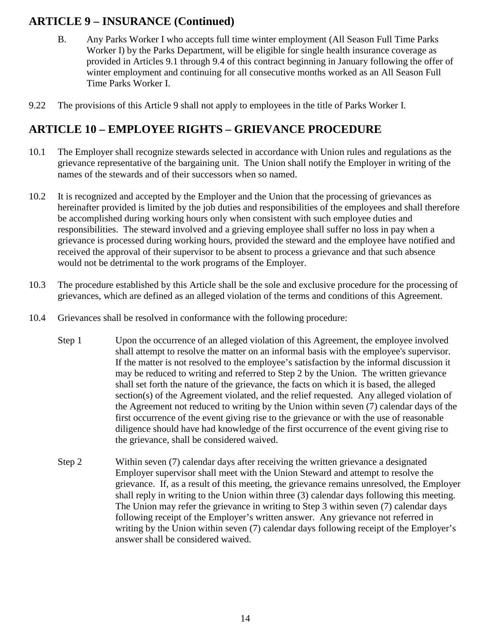- <span id="page-16-0"></span>B. Any Parks Worker I who accepts full time winter employment (All Season Full Time Parks Worker I) by the Parks Department, will be eligible for single health insurance coverage as provided in Articles 9.1 through 9.4 of this contract beginning in January following the offer of winter employment and continuing for all consecutive months worked as an All Season Full Time Parks Worker I.
- 9.22 The provisions of this Article 9 shall not apply to employees in the title of Parks Worker I.

### **ARTICLE 10 – EMPLOYEE RIGHTS – GRIEVANCE PROCEDURE**

- 10.1 The Employer shall recognize stewards selected in accordance with Union rules and regulations as the grievance representative of the bargaining unit. The Union shall notify the Employer in writing of the names of the stewards and of their successors when so named.
- 10.2 It is recognized and accepted by the Employer and the Union that the processing of grievances as hereinafter provided is limited by the job duties and responsibilities of the employees and shall therefore be accomplished during working hours only when consistent with such employee duties and responsibilities. The steward involved and a grieving employee shall suffer no loss in pay when a grievance is processed during working hours, provided the steward and the employee have notified and received the approval of their supervisor to be absent to process a grievance and that such absence would not be detrimental to the work programs of the Employer.
- 10.3 The procedure established by this Article shall be the sole and exclusive procedure for the processing of grievances, which are defined as an alleged violation of the terms and conditions of this Agreement.
- 10.4 Grievances shall be resolved in conformance with the following procedure:
	- Step 1 Upon the occurrence of an alleged violation of this Agreement, the employee involved shall attempt to resolve the matter on an informal basis with the employee's supervisor. If the matter is not resolved to the employee's satisfaction by the informal discussion it may be reduced to writing and referred to Step 2 by the Union. The written grievance shall set forth the nature of the grievance, the facts on which it is based, the alleged section(s) of the Agreement violated, and the relief requested. Any alleged violation of the Agreement not reduced to writing by the Union within seven (7) calendar days of the first occurrence of the event giving rise to the grievance or with the use of reasonable diligence should have had knowledge of the first occurrence of the event giving rise to the grievance, shall be considered waived.
	- Step 2 Within seven (7) calendar days after receiving the written grievance a designated Employer supervisor shall meet with the Union Steward and attempt to resolve the grievance. If, as a result of this meeting, the grievance remains unresolved, the Employer shall reply in writing to the Union within three (3) calendar days following this meeting. The Union may refer the grievance in writing to Step 3 within seven (7) calendar days following receipt of the Employer's written answer. Any grievance not referred in writing by the Union within seven (7) calendar days following receipt of the Employer's answer shall be considered waived.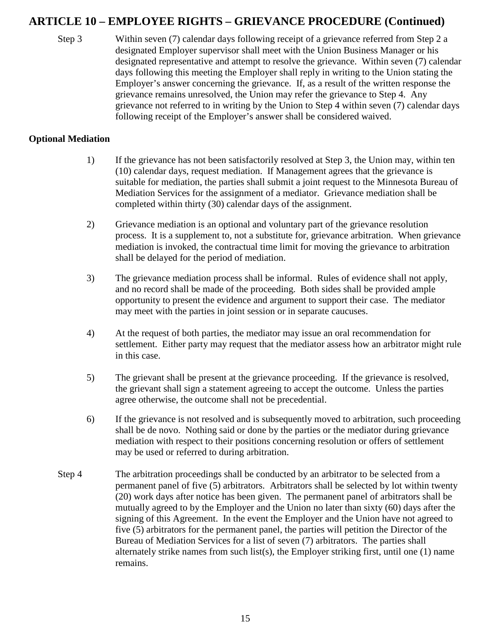### **ARTICLE 10 – EMPLOYEE RIGHTS – GRIEVANCE PROCEDURE (Continued)**

Step 3 Within seven (7) calendar days following receipt of a grievance referred from Step 2 a designated Employer supervisor shall meet with the Union Business Manager or his designated representative and attempt to resolve the grievance. Within seven (7) calendar days following this meeting the Employer shall reply in writing to the Union stating the Employer's answer concerning the grievance. If, as a result of the written response the grievance remains unresolved, the Union may refer the grievance to Step 4. Any grievance not referred to in writing by the Union to Step 4 within seven (7) calendar days following receipt of the Employer's answer shall be considered waived.

#### **Optional Mediation**

- 1) If the grievance has not been satisfactorily resolved at Step 3, the Union may, within ten (10) calendar days, request mediation. If Management agrees that the grievance is suitable for mediation, the parties shall submit a joint request to the Minnesota Bureau of Mediation Services for the assignment of a mediator. Grievance mediation shall be completed within thirty (30) calendar days of the assignment.
- 2) Grievance mediation is an optional and voluntary part of the grievance resolution process. It is a supplement to, not a substitute for, grievance arbitration. When grievance mediation is invoked, the contractual time limit for moving the grievance to arbitration shall be delayed for the period of mediation.
- 3) The grievance mediation process shall be informal. Rules of evidence shall not apply, and no record shall be made of the proceeding. Both sides shall be provided ample opportunity to present the evidence and argument to support their case. The mediator may meet with the parties in joint session or in separate caucuses.
- 4) At the request of both parties, the mediator may issue an oral recommendation for settlement. Either party may request that the mediator assess how an arbitrator might rule in this case.
- 5) The grievant shall be present at the grievance proceeding. If the grievance is resolved, the grievant shall sign a statement agreeing to accept the outcome. Unless the parties agree otherwise, the outcome shall not be precedential.
- 6) If the grievance is not resolved and is subsequently moved to arbitration, such proceeding shall be de novo. Nothing said or done by the parties or the mediator during grievance mediation with respect to their positions concerning resolution or offers of settlement may be used or referred to during arbitration.
- Step 4 The arbitration proceedings shall be conducted by an arbitrator to be selected from a permanent panel of five (5) arbitrators. Arbitrators shall be selected by lot within twenty (20) work days after notice has been given. The permanent panel of arbitrators shall be mutually agreed to by the Employer and the Union no later than sixty (60) days after the signing of this Agreement. In the event the Employer and the Union have not agreed to five (5) arbitrators for the permanent panel, the parties will petition the Director of the Bureau of Mediation Services for a list of seven (7) arbitrators. The parties shall alternately strike names from such list(s), the Employer striking first, until one (1) name remains.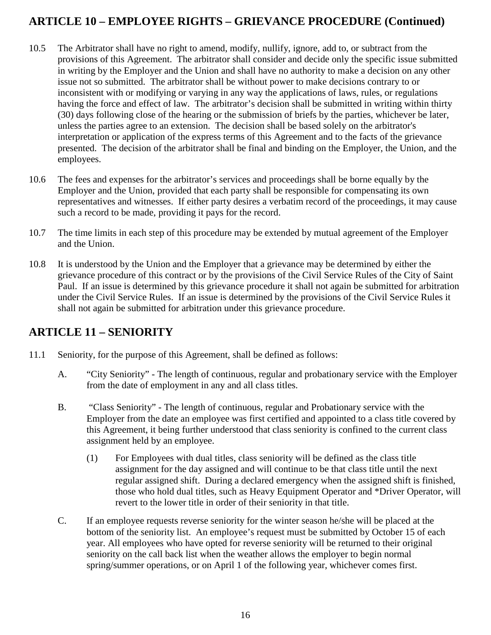### **ARTICLE 10 – EMPLOYEE RIGHTS – GRIEVANCE PROCEDURE (Continued)**

- 10.5 The Arbitrator shall have no right to amend, modify, nullify, ignore, add to, or subtract from the provisions of this Agreement. The arbitrator shall consider and decide only the specific issue submitted in writing by the Employer and the Union and shall have no authority to make a decision on any other issue not so submitted. The arbitrator shall be without power to make decisions contrary to or inconsistent with or modifying or varying in any way the applications of laws, rules, or regulations having the force and effect of law. The arbitrator's decision shall be submitted in writing within thirty (30) days following close of the hearing or the submission of briefs by the parties, whichever be later, unless the parties agree to an extension. The decision shall be based solely on the arbitrator's interpretation or application of the express terms of this Agreement and to the facts of the grievance presented. The decision of the arbitrator shall be final and binding on the Employer, the Union, and the employees.
- 10.6 The fees and expenses for the arbitrator's services and proceedings shall be borne equally by the Employer and the Union, provided that each party shall be responsible for compensating its own representatives and witnesses. If either party desires a verbatim record of the proceedings, it may cause such a record to be made, providing it pays for the record.
- 10.7 The time limits in each step of this procedure may be extended by mutual agreement of the Employer and the Union.
- 10.8 It is understood by the Union and the Employer that a grievance may be determined by either the grievance procedure of this contract or by the provisions of the Civil Service Rules of the City of Saint Paul. If an issue is determined by this grievance procedure it shall not again be submitted for arbitration under the Civil Service Rules. If an issue is determined by the provisions of the Civil Service Rules it shall not again be submitted for arbitration under this grievance procedure.

### <span id="page-18-0"></span>**ARTICLE 11 – SENIORITY**

- 11.1 Seniority, for the purpose of this Agreement, shall be defined as follows:
	- A. "City Seniority" The length of continuous, regular and probationary service with the Employer from the date of employment in any and all class titles.
	- B. "Class Seniority" The length of continuous, regular and Probationary service with the Employer from the date an employee was first certified and appointed to a class title covered by this Agreement, it being further understood that class seniority is confined to the current class assignment held by an employee.
		- (1) For Employees with dual titles, class seniority will be defined as the class title assignment for the day assigned and will continue to be that class title until the next regular assigned shift. During a declared emergency when the assigned shift is finished, those who hold dual titles, such as Heavy Equipment Operator and \*Driver Operator, will revert to the lower title in order of their seniority in that title.
	- C. If an employee requests reverse seniority for the winter season he/she will be placed at the bottom of the seniority list. An employee's request must be submitted by October 15 of each year. All employees who have opted for reverse seniority will be returned to their original seniority on the call back list when the weather allows the employer to begin normal spring/summer operations, or on April 1 of the following year, whichever comes first.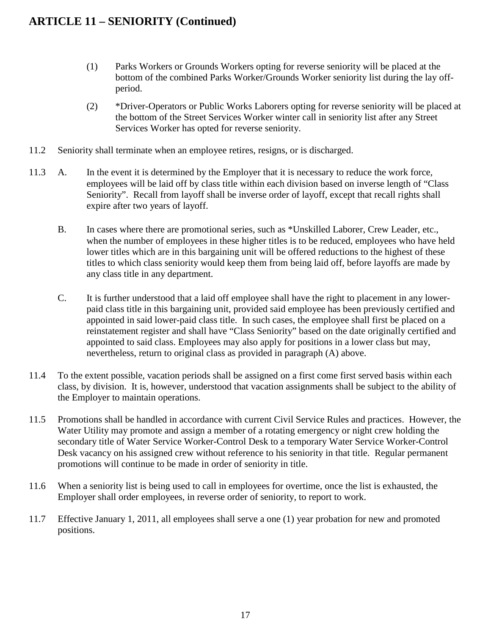### **ARTICLE 11 – SENIORITY (Continued)**

- (1) Parks Workers or Grounds Workers opting for reverse seniority will be placed at the bottom of the combined Parks Worker/Grounds Worker seniority list during the lay offperiod.
- (2) \*Driver-Operators or Public Works Laborers opting for reverse seniority will be placed at the bottom of the Street Services Worker winter call in seniority list after any Street Services Worker has opted for reverse seniority.
- 11.2 Seniority shall terminate when an employee retires, resigns, or is discharged.
- 11.3 A. In the event it is determined by the Employer that it is necessary to reduce the work force, employees will be laid off by class title within each division based on inverse length of "Class Seniority". Recall from layoff shall be inverse order of layoff, except that recall rights shall expire after two years of layoff.
	- B. In cases where there are promotional series, such as \*Unskilled Laborer, Crew Leader, etc., when the number of employees in these higher titles is to be reduced, employees who have held lower titles which are in this bargaining unit will be offered reductions to the highest of these titles to which class seniority would keep them from being laid off, before layoffs are made by any class title in any department.
	- C. It is further understood that a laid off employee shall have the right to placement in any lowerpaid class title in this bargaining unit, provided said employee has been previously certified and appointed in said lower-paid class title. In such cases, the employee shall first be placed on a reinstatement register and shall have "Class Seniority" based on the date originally certified and appointed to said class. Employees may also apply for positions in a lower class but may, nevertheless, return to original class as provided in paragraph (A) above.
- 11.4 To the extent possible, vacation periods shall be assigned on a first come first served basis within each class, by division. It is, however, understood that vacation assignments shall be subject to the ability of the Employer to maintain operations.
- 11.5 Promotions shall be handled in accordance with current Civil Service Rules and practices. However, the Water Utility may promote and assign a member of a rotating emergency or night crew holding the secondary title of Water Service Worker-Control Desk to a temporary Water Service Worker-Control Desk vacancy on his assigned crew without reference to his seniority in that title. Regular permanent promotions will continue to be made in order of seniority in title.
- 11.6 When a seniority list is being used to call in employees for overtime, once the list is exhausted, the Employer shall order employees, in reverse order of seniority, to report to work.
- 11.7 Effective January 1, 2011, all employees shall serve a one (1) year probation for new and promoted positions.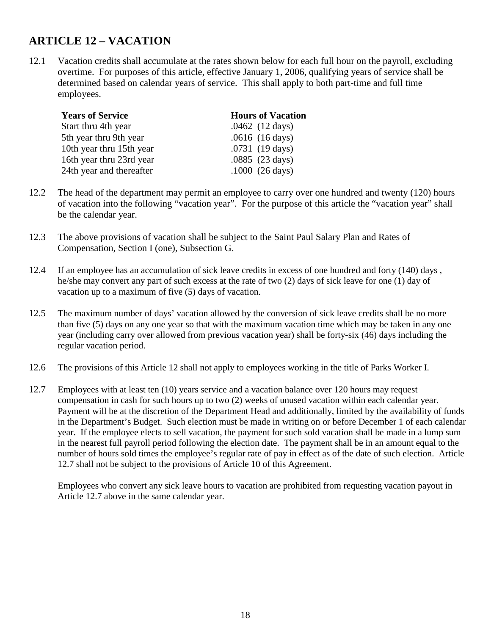### **ARTICLE 12 – VACATION**

12.1 Vacation credits shall accumulate at the rates shown below for each full hour on the payroll, excluding overtime. For purposes of this article, effective January 1, 2006, qualifying years of service shall be determined based on calendar years of service. This shall apply to both part-time and full time employees.

<span id="page-20-0"></span>

| <b>Years of Service</b>  | <b>Hours of Vacation</b> |
|--------------------------|--------------------------|
| Start thru 4th year      | $.0462$ (12 days)        |
| 5th year thru 9th year   | $.0616$ (16 days)        |
| 10th year thru 15th year | $.0731(19 \text{ days})$ |
| 16th year thru 23rd year | .0885 (23 days)          |
| 24th year and thereafter | $.1000(26 \text{ days})$ |

- 12.2 The head of the department may permit an employee to carry over one hundred and twenty (120) hours of vacation into the following "vacation year". For the purpose of this article the "vacation year" shall be the calendar year.
- 12.3 The above provisions of vacation shall be subject to the Saint Paul Salary Plan and Rates of Compensation, Section I (one), Subsection G.
- 12.4 If an employee has an accumulation of sick leave credits in excess of one hundred and forty (140) days , he/she may convert any part of such excess at the rate of two (2) days of sick leave for one (1) day of vacation up to a maximum of five (5) days of vacation.
- 12.5 The maximum number of days' vacation allowed by the conversion of sick leave credits shall be no more than five (5) days on any one year so that with the maximum vacation time which may be taken in any one year (including carry over allowed from previous vacation year) shall be forty-six (46) days including the regular vacation period.
- 12.6 The provisions of this Article 12 shall not apply to employees working in the title of Parks Worker I.
- 12.7 Employees with at least ten (10) years service and a vacation balance over 120 hours may request compensation in cash for such hours up to two (2) weeks of unused vacation within each calendar year. Payment will be at the discretion of the Department Head and additionally, limited by the availability of funds in the Department's Budget. Such election must be made in writing on or before December 1 of each calendar year. If the employee elects to sell vacation, the payment for such sold vacation shall be made in a lump sum in the nearest full payroll period following the election date. The payment shall be in an amount equal to the number of hours sold times the employee's regular rate of pay in effect as of the date of such election. Article 12.7 shall not be subject to the provisions of Article 10 of this Agreement.

Employees who convert any sick leave hours to vacation are prohibited from requesting vacation payout in Article 12.7 above in the same calendar year.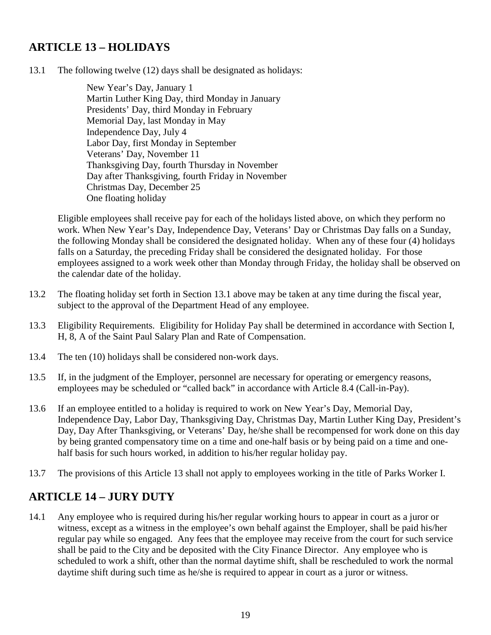### **ARTICLE 13 – HOLIDAYS**

13.1 The following twelve (12) days shall be designated as holidays:

<span id="page-21-0"></span>New Year's Day, January 1 Martin Luther King Day, third Monday in January Presidents' Day, third Monday in February Memorial Day, last Monday in May Independence Day, July 4 Labor Day, first Monday in September Veterans' Day, November 11 Thanksgiving Day, fourth Thursday in November Day after Thanksgiving, fourth Friday in November Christmas Day, December 25 One floating holiday

Eligible employees shall receive pay for each of the holidays listed above, on which they perform no work. When New Year's Day, Independence Day, Veterans' Day or Christmas Day falls on a Sunday, the following Monday shall be considered the designated holiday. When any of these four (4) holidays falls on a Saturday, the preceding Friday shall be considered the designated holiday. For those employees assigned to a work week other than Monday through Friday, the holiday shall be observed on the calendar date of the holiday.

- 13.2 The floating holiday set forth in Section 13.1 above may be taken at any time during the fiscal year, subject to the approval of the Department Head of any employee.
- 13.3 Eligibility Requirements. Eligibility for Holiday Pay shall be determined in accordance with Section I, H, 8, A of the Saint Paul Salary Plan and Rate of Compensation.
- 13.4 The ten (10) holidays shall be considered non-work days.
- 13.5 If, in the judgment of the Employer, personnel are necessary for operating or emergency reasons, employees may be scheduled or "called back" in accordance with Article 8.4 (Call-in-Pay).
- 13.6 If an employee entitled to a holiday is required to work on New Year's Day, Memorial Day, Independence Day, Labor Day, Thanksgiving Day, Christmas Day, Martin Luther King Day, President's Day, Day After Thanksgiving, or Veterans' Day, he/she shall be recompensed for work done on this day by being granted compensatory time on a time and one-half basis or by being paid on a time and onehalf basis for such hours worked, in addition to his/her regular holiday pay.
- 13.7 The provisions of this Article 13 shall not apply to employees working in the title of Parks Worker I.

### <span id="page-21-1"></span>**ARTICLE 14 – JURY DUTY**

14.1 Any employee who is required during his/her regular working hours to appear in court as a juror or witness, except as a witness in the employee's own behalf against the Employer, shall be paid his/her regular pay while so engaged. Any fees that the employee may receive from the court for such service shall be paid to the City and be deposited with the City Finance Director. Any employee who is scheduled to work a shift, other than the normal daytime shift, shall be rescheduled to work the normal daytime shift during such time as he/she is required to appear in court as a juror or witness.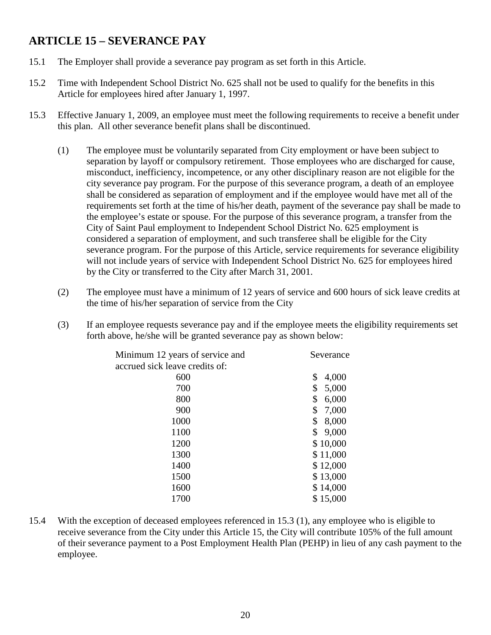### <span id="page-22-0"></span>**ARTICLE 15 – SEVERANCE PAY**

- 15.1 The Employer shall provide a severance pay program as set forth in this Article.
- 15.2 Time with Independent School District No. 625 shall not be used to qualify for the benefits in this Article for employees hired after January 1, 1997.
- 15.3 Effective January 1, 2009, an employee must meet the following requirements to receive a benefit under this plan. All other severance benefit plans shall be discontinued.
	- (1) The employee must be voluntarily separated from City employment or have been subject to separation by layoff or compulsory retirement. Those employees who are discharged for cause, misconduct, inefficiency, incompetence, or any other disciplinary reason are not eligible for the city severance pay program. For the purpose of this severance program, a death of an employee shall be considered as separation of employment and if the employee would have met all of the requirements set forth at the time of his/her death, payment of the severance pay shall be made to the employee's estate or spouse. For the purpose of this severance program, a transfer from the City of Saint Paul employment to Independent School District No. 625 employment is considered a separation of employment, and such transferee shall be eligible for the City severance program. For the purpose of this Article, service requirements for severance eligibility will not include years of service with Independent School District No. 625 for employees hired by the City or transferred to the City after March 31, 2001.
	- (2) The employee must have a minimum of 12 years of service and 600 hours of sick leave credits at the time of his/her separation of service from the City
	- (3) If an employee requests severance pay and if the employee meets the eligibility requirements set forth above, he/she will be granted severance pay as shown below:

| Minimum 12 years of service and | Severance   |
|---------------------------------|-------------|
| accrued sick leave credits of:  |             |
| 600                             | \$<br>4,000 |
| 700                             | \$<br>5,000 |
| 800                             | \$<br>6,000 |
| 900                             | \$<br>7,000 |
| 1000                            | \$<br>8,000 |
| 1100                            | \$<br>9,000 |
| 1200                            | \$10,000    |
| 1300                            | \$11,000    |
| 1400                            | \$12,000    |
| 1500                            | \$13,000    |
| 1600                            | \$14,000    |
| 1700                            | \$15,000    |
|                                 |             |

15.4 With the exception of deceased employees referenced in 15.3 (1), any employee who is eligible to receive severance from the City under this Article 15, the City will contribute 105% of the full amount of their severance payment to a Post Employment Health Plan (PEHP) in lieu of any cash payment to the employee.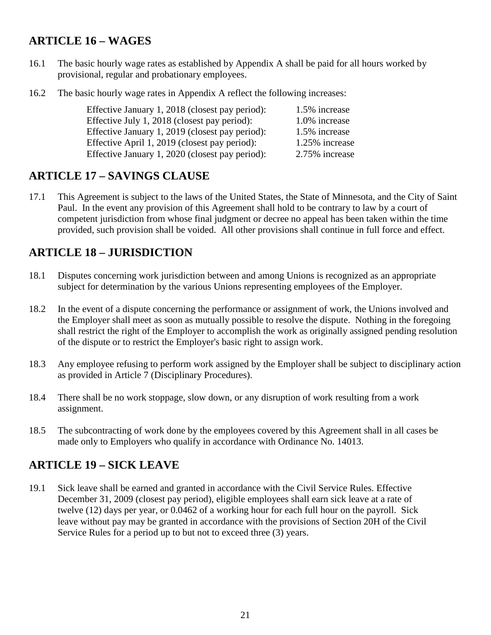### **ARTICLE 16 – WAGES**

- 16.1 The basic hourly wage rates as established by Appendix A shall be paid for all hours worked by provisional, regular and probationary employees.
- 16.2 The basic hourly wage rates in Appendix A reflect the following increases:

<span id="page-23-1"></span><span id="page-23-0"></span>

| Effective January 1, 2018 (closest pay period): | 1.5% increase  |
|-------------------------------------------------|----------------|
| Effective July 1, 2018 (closest pay period):    | 1.0% increase  |
| Effective January 1, 2019 (closest pay period): | 1.5% increase  |
| Effective April 1, 2019 (closest pay period):   | 1.25% increase |
| Effective January 1, 2020 (closest pay period): | 2.75% increase |

#### **ARTICLE 17 – SAVINGS CLAUSE**

17.1 This Agreement is subject to the laws of the United States, the State of Minnesota, and the City of Saint Paul. In the event any provision of this Agreement shall hold to be contrary to law by a court of competent jurisdiction from whose final judgment or decree no appeal has been taken within the time provided, such provision shall be voided. All other provisions shall continue in full force and effect.

### <span id="page-23-2"></span>**ARTICLE 18 – JURISDICTION**

- 18.1 Disputes concerning work jurisdiction between and among Unions is recognized as an appropriate subject for determination by the various Unions representing employees of the Employer.
- 18.2 In the event of a dispute concerning the performance or assignment of work, the Unions involved and the Employer shall meet as soon as mutually possible to resolve the dispute. Nothing in the foregoing shall restrict the right of the Employer to accomplish the work as originally assigned pending resolution of the dispute or to restrict the Employer's basic right to assign work.
- 18.3 Any employee refusing to perform work assigned by the Employer shall be subject to disciplinary action as provided in Article 7 (Disciplinary Procedures).
- 18.4 There shall be no work stoppage, slow down, or any disruption of work resulting from a work assignment.
- 18.5 The subcontracting of work done by the employees covered by this Agreement shall in all cases be made only to Employers who qualify in accordance with Ordinance No. 14013.

### <span id="page-23-3"></span>**ARTICLE 19 – SICK LEAVE**

19.1 Sick leave shall be earned and granted in accordance with the Civil Service Rules. Effective December 31, 2009 (closest pay period), eligible employees shall earn sick leave at a rate of twelve (12) days per year, or 0.0462 of a working hour for each full hour on the payroll. Sick leave without pay may be granted in accordance with the provisions of Section 20H of the Civil Service Rules for a period up to but not to exceed three (3) years.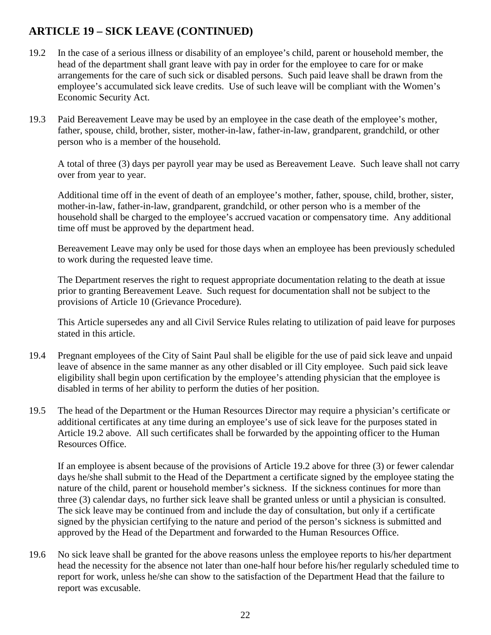### **ARTICLE 19 – SICK LEAVE (CONTINUED)**

- 19.2 In the case of a serious illness or disability of an employee's child, parent or household member, the head of the department shall grant leave with pay in order for the employee to care for or make arrangements for the care of such sick or disabled persons. Such paid leave shall be drawn from the employee's accumulated sick leave credits. Use of such leave will be compliant with the Women's Economic Security Act.
- 19.3 Paid Bereavement Leave may be used by an employee in the case death of the employee's mother, father, spouse, child, brother, sister, mother-in-law, father-in-law, grandparent, grandchild, or other person who is a member of the household.

A total of three (3) days per payroll year may be used as Bereavement Leave. Such leave shall not carry over from year to year.

Additional time off in the event of death of an employee's mother, father, spouse, child, brother, sister, mother-in-law, father-in-law, grandparent, grandchild, or other person who is a member of the household shall be charged to the employee's accrued vacation or compensatory time. Any additional time off must be approved by the department head.

Bereavement Leave may only be used for those days when an employee has been previously scheduled to work during the requested leave time.

The Department reserves the right to request appropriate documentation relating to the death at issue prior to granting Bereavement Leave. Such request for documentation shall not be subject to the provisions of Article 10 (Grievance Procedure).

This Article supersedes any and all Civil Service Rules relating to utilization of paid leave for purposes stated in this article.

- 19.4 Pregnant employees of the City of Saint Paul shall be eligible for the use of paid sick leave and unpaid leave of absence in the same manner as any other disabled or ill City employee. Such paid sick leave eligibility shall begin upon certification by the employee's attending physician that the employee is disabled in terms of her ability to perform the duties of her position.
- 19.5 The head of the Department or the Human Resources Director may require a physician's certificate or additional certificates at any time during an employee's use of sick leave for the purposes stated in Article 19.2 above. All such certificates shall be forwarded by the appointing officer to the Human Resources Office.

If an employee is absent because of the provisions of Article 19.2 above for three (3) or fewer calendar days he/she shall submit to the Head of the Department a certificate signed by the employee stating the nature of the child, parent or household member's sickness. If the sickness continues for more than three (3) calendar days, no further sick leave shall be granted unless or until a physician is consulted. The sick leave may be continued from and include the day of consultation, but only if a certificate signed by the physician certifying to the nature and period of the person's sickness is submitted and approved by the Head of the Department and forwarded to the Human Resources Office.

19.6 No sick leave shall be granted for the above reasons unless the employee reports to his/her department head the necessity for the absence not later than one-half hour before his/her regularly scheduled time to report for work, unless he/she can show to the satisfaction of the Department Head that the failure to report was excusable.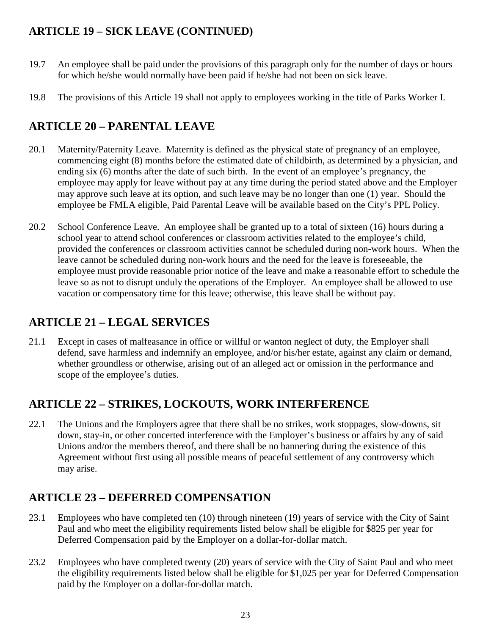### **ARTICLE 19 – SICK LEAVE (CONTINUED)**

- 19.7 An employee shall be paid under the provisions of this paragraph only for the number of days or hours for which he/she would normally have been paid if he/she had not been on sick leave.
- 19.8 The provisions of this Article 19 shall not apply to employees working in the title of Parks Worker I.

### <span id="page-25-0"></span>**ARTICLE 20 – PARENTAL LEAVE**

- 20.1 Maternity/Paternity Leave. Maternity is defined as the physical state of pregnancy of an employee, commencing eight (8) months before the estimated date of childbirth, as determined by a physician, and ending six (6) months after the date of such birth. In the event of an employee's pregnancy, the employee may apply for leave without pay at any time during the period stated above and the Employer may approve such leave at its option, and such leave may be no longer than one (1) year. Should the employee be FMLA eligible, Paid Parental Leave will be available based on the City's PPL Policy.
- 20.2 School Conference Leave. An employee shall be granted up to a total of sixteen (16) hours during a school year to attend school conferences or classroom activities related to the employee's child, provided the conferences or classroom activities cannot be scheduled during non-work hours. When the leave cannot be scheduled during non-work hours and the need for the leave is foreseeable, the employee must provide reasonable prior notice of the leave and make a reasonable effort to schedule the leave so as not to disrupt unduly the operations of the Employer. An employee shall be allowed to use vacation or compensatory time for this leave; otherwise, this leave shall be without pay.

### <span id="page-25-1"></span>**ARTICLE 21 – LEGAL SERVICES**

21.1 Except in cases of malfeasance in office or willful or wanton neglect of duty, the Employer shall defend, save harmless and indemnify an employee, and/or his/her estate, against any claim or demand, whether groundless or otherwise, arising out of an alleged act or omission in the performance and scope of the employee's duties.

### <span id="page-25-2"></span>**ARTICLE 22 – STRIKES, LOCKOUTS, WORK INTERFERENCE**

22.1 The Unions and the Employers agree that there shall be no strikes, work stoppages, slow-downs, sit down, stay-in, or other concerted interference with the Employer's business or affairs by any of said Unions and/or the members thereof, and there shall be no bannering during the existence of this Agreement without first using all possible means of peaceful settlement of any controversy which may arise.

### <span id="page-25-3"></span>**ARTICLE 23 – DEFERRED COMPENSATION**

- 23.1 Employees who have completed ten (10) through nineteen (19) years of service with the City of Saint Paul and who meet the eligibility requirements listed below shall be eligible for \$825 per year for Deferred Compensation paid by the Employer on a dollar-for-dollar match.
- 23.2 Employees who have completed twenty (20) years of service with the City of Saint Paul and who meet the eligibility requirements listed below shall be eligible for \$1,025 per year for Deferred Compensation paid by the Employer on a dollar-for-dollar match.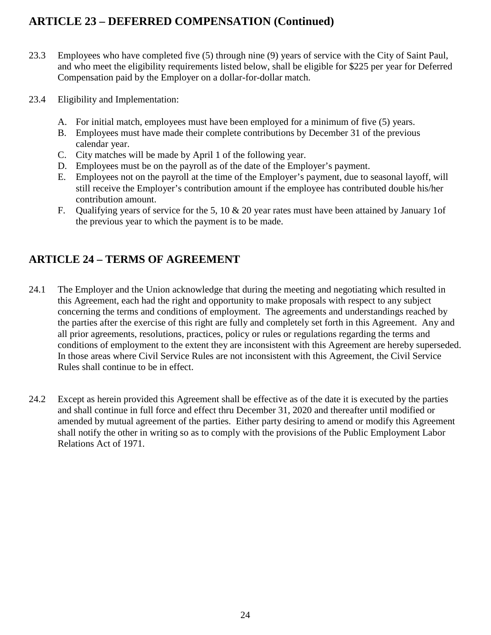### **ARTICLE 23 – DEFERRED COMPENSATION (Continued)**

- 23.3 Employees who have completed five (5) through nine (9) years of service with the City of Saint Paul, and who meet the eligibility requirements listed below, shall be eligible for \$225 per year for Deferred Compensation paid by the Employer on a dollar-for-dollar match.
- 23.4 Eligibility and Implementation:
	- A. For initial match, employees must have been employed for a minimum of five (5) years.
	- B. Employees must have made their complete contributions by December 31 of the previous calendar year.
	- C. City matches will be made by April 1 of the following year.
	- D. Employees must be on the payroll as of the date of the Employer's payment.
	- E. Employees not on the payroll at the time of the Employer's payment, due to seasonal layoff, will still receive the Employer's contribution amount if the employee has contributed double his/her contribution amount.
	- F. Qualifying years of service for the 5, 10 & 20 year rates must have been attained by January 1of the previous year to which the payment is to be made.

### <span id="page-26-0"></span>**ARTICLE 24 – TERMS OF AGREEMENT**

- 24.1 The Employer and the Union acknowledge that during the meeting and negotiating which resulted in this Agreement, each had the right and opportunity to make proposals with respect to any subject concerning the terms and conditions of employment. The agreements and understandings reached by the parties after the exercise of this right are fully and completely set forth in this Agreement. Any and all prior agreements, resolutions, practices, policy or rules or regulations regarding the terms and conditions of employment to the extent they are inconsistent with this Agreement are hereby superseded. In those areas where Civil Service Rules are not inconsistent with this Agreement, the Civil Service Rules shall continue to be in effect.
- 24.2 Except as herein provided this Agreement shall be effective as of the date it is executed by the parties and shall continue in full force and effect thru December 31, 2020 and thereafter until modified or amended by mutual agreement of the parties. Either party desiring to amend or modify this Agreement shall notify the other in writing so as to comply with the provisions of the Public Employment Labor Relations Act of 1971.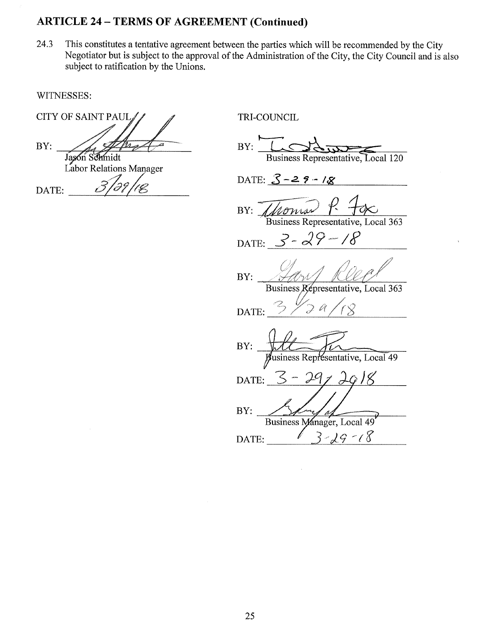#### **ARTICLE 24 - TERMS OF AGREEMENT (Continued)**

This constitutes a tentative agreement between the parties which will be recommended by the City 24.3 Negotiator but is subject to the approval of the Administration of the City, the City Council and is also subject to ratification by the Unions.

WITNESSES:

BY:

**CITY OF SAINT PAUL** TRI-COUNCIL  $BY:$ Jason Schmidt Business Representative, Local 120 Labor Relations Manager DATE:  $3 - 29 - 18$  $\overline{\mathscr{L}}$ DATE:  $BY:$  A Business Representative, Local 363 DATE:  $3 - 29 - 18$ BY: Business Representative, Local 363 DATE: BY: usiness Representative, Local 49 Κ DATE: BY: Business Manager, Local 49  $19 - 18$ ζ DATE: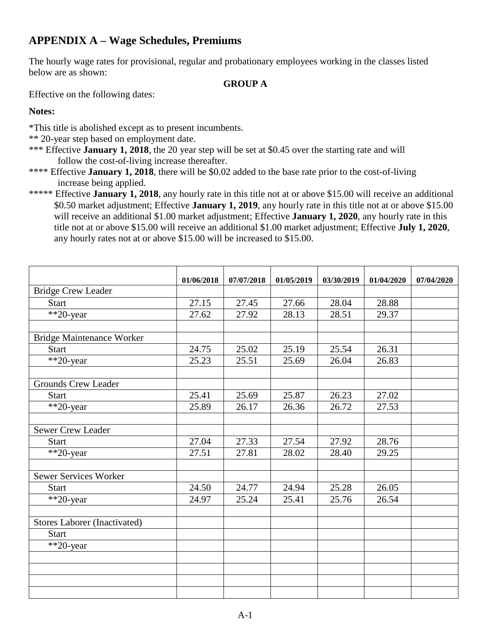### **APPENDIX A – Wage Schedules, Premiums**

The hourly wage rates for provisional, regular and probationary employees working in the classes listed below are as shown:

#### <span id="page-28-0"></span>**GROUP A**

Effective on the following dates:

#### **Notes:**

\*This title is abolished except as to present incumbents.

- \*\* 20-year step based on employment date.
- \*\*\* Effective **January 1, 2018**, the 20 year step will be set at \$0.45 over the starting rate and will follow the cost-of-living increase thereafter.
- \*\*\*\* Effective **January 1, 2018**, there will be \$0.02 added to the base rate prior to the cost-of-living increase being applied.
- \*\*\*\*\* Effective **January 1, 2018**, any hourly rate in this title not at or above \$15.00 will receive an additional \$0.50 market adjustment; Effective **January 1, 2019**, any hourly rate in this title not at or above \$15.00 will receive an additional \$1.00 market adjustment; Effective **January 1, 2020**, any hourly rate in this title not at or above \$15.00 will receive an additional \$1.00 market adjustment; Effective **July 1, 2020**, any hourly rates not at or above \$15.00 will be increased to \$15.00.

|                                  | 01/06/2018 | 07/07/2018 | 01/05/2019 | 03/30/2019 | 01/04/2020 | 07/04/2020 |
|----------------------------------|------------|------------|------------|------------|------------|------------|
| <b>Bridge Crew Leader</b>        |            |            |            |            |            |            |
| Start                            | 27.15      | 27.45      | 27.66      | 28.04      | 28.88      |            |
| **20-year                        | 27.62      | 27.92      | 28.13      | 28.51      | 29.37      |            |
|                                  |            |            |            |            |            |            |
| <b>Bridge Maintenance Worker</b> |            |            |            |            |            |            |
| <b>Start</b>                     | 24.75      | 25.02      | 25.19      | 25.54      | 26.31      |            |
| **20-year                        | 25.23      | 25.51      | 25.69      | 26.04      | 26.83      |            |
|                                  |            |            |            |            |            |            |
| <b>Grounds Crew Leader</b>       |            |            |            |            |            |            |
| <b>Start</b>                     | 25.41      | 25.69      | 25.87      | 26.23      | 27.02      |            |
| **20-year                        | 25.89      | 26.17      | 26.36      | 26.72      | 27.53      |            |
|                                  |            |            |            |            |            |            |
| Sewer Crew Leader                |            |            |            |            |            |            |
| <b>Start</b>                     | 27.04      | 27.33      | 27.54      | 27.92      | 28.76      |            |
| **20-year                        | 27.51      | 27.81      | 28.02      | 28.40      | 29.25      |            |
|                                  |            |            |            |            |            |            |
| <b>Sewer Services Worker</b>     |            |            |            |            |            |            |
| <b>Start</b>                     | 24.50      | 24.77      | 24.94      | 25.28      | 26.05      |            |
| $\sqrt{20}$ -year                | 24.97      | 25.24      | 25.41      | 25.76      | 26.54      |            |
|                                  |            |            |            |            |            |            |
| Stores Laborer (Inactivated)     |            |            |            |            |            |            |
| <b>Start</b>                     |            |            |            |            |            |            |
| **20-year                        |            |            |            |            |            |            |
|                                  |            |            |            |            |            |            |
|                                  |            |            |            |            |            |            |
|                                  |            |            |            |            |            |            |
|                                  |            |            |            |            |            |            |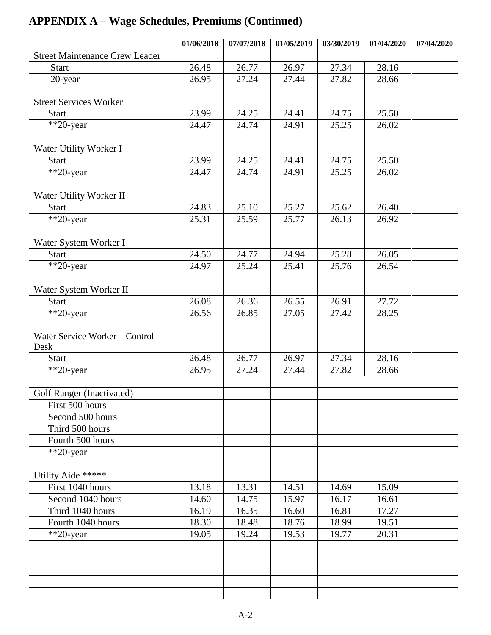|                                       | 01/06/2018 | 07/07/2018 | 01/05/2019 | 03/30/2019 | 01/04/2020 | 07/04/2020 |
|---------------------------------------|------------|------------|------------|------------|------------|------------|
| <b>Street Maintenance Crew Leader</b> |            |            |            |            |            |            |
| <b>Start</b>                          | 26.48      | 26.77      | 26.97      | 27.34      | 28.16      |            |
| 20-year                               | 26.95      | 27.24      | 27.44      | 27.82      | 28.66      |            |
|                                       |            |            |            |            |            |            |
| <b>Street Services Worker</b>         |            |            |            |            |            |            |
| <b>Start</b>                          | 23.99      | 24.25      | 24.41      | 24.75      | 25.50      |            |
| $*$ 20-year                           | 24.47      | 24.74      | 24.91      | 25.25      | 26.02      |            |
|                                       |            |            |            |            |            |            |
| Water Utility Worker I                |            |            |            |            |            |            |
| <b>Start</b>                          | 23.99      | 24.25      | 24.41      | 24.75      | 25.50      |            |
| $*$ 20-year                           | 24.47      | 24.74      | 24.91      | 25.25      | 26.02      |            |
|                                       |            |            |            |            |            |            |
| Water Utility Worker II               |            |            |            |            |            |            |
| <b>Start</b>                          | 24.83      | 25.10      | 25.27      | 25.62      | 26.40      |            |
| **20-year                             | 25.31      | 25.59      | 25.77      | 26.13      | 26.92      |            |
|                                       |            |            |            |            |            |            |
| Water System Worker I                 |            |            |            |            |            |            |
| <b>Start</b>                          | 24.50      | 24.77      | 24.94      | 25.28      | 26.05      |            |
| **20-year                             | 24.97      | 25.24      | 25.41      | 25.76      | 26.54      |            |
|                                       |            |            |            |            |            |            |
| Water System Worker II                |            |            |            |            |            |            |
| <b>Start</b>                          | 26.08      | 26.36      | 26.55      | 26.91      | 27.72      |            |
| **20-year                             | 26.56      | 26.85      | 27.05      | 27.42      | 28.25      |            |
|                                       |            |            |            |            |            |            |
| Water Service Worker - Control        |            |            |            |            |            |            |
| Desk                                  |            |            |            |            |            |            |
| <b>Start</b>                          | 26.48      | 26.77      | 26.97      | 27.34      | 28.16      |            |
| **20-year                             | 26.95      | 27.24      | 27.44      | 27.82      | 28.66      |            |
|                                       |            |            |            |            |            |            |
| Golf Ranger (Inactivated)             |            |            |            |            |            |            |
| First 500 hours                       |            |            |            |            |            |            |
| Second 500 hours                      |            |            |            |            |            |            |
| Third 500 hours                       |            |            |            |            |            |            |
| Fourth 500 hours                      |            |            |            |            |            |            |
| $*$ 20-year                           |            |            |            |            |            |            |
|                                       |            |            |            |            |            |            |
| Utility Aide *****                    |            |            |            |            |            |            |
| First 1040 hours                      | 13.18      | 13.31      | 14.51      | 14.69      | 15.09      |            |
| Second 1040 hours                     | 14.60      | 14.75      | 15.97      | 16.17      | 16.61      |            |
| Third 1040 hours                      | 16.19      | 16.35      | 16.60      | 16.81      | 17.27      |            |
| Fourth 1040 hours                     | 18.30      | 18.48      | 18.76      | 18.99      | 19.51      |            |
| $*$ 20-year                           | 19.05      | 19.24      | 19.53      | 19.77      | 20.31      |            |
|                                       |            |            |            |            |            |            |
|                                       |            |            |            |            |            |            |
|                                       |            |            |            |            |            |            |
|                                       |            |            |            |            |            |            |
|                                       |            |            |            |            |            |            |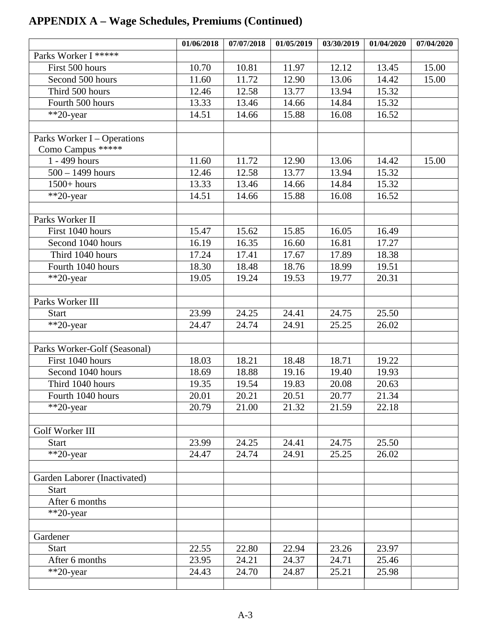|                              | 01/06/2018     | 07/07/2018     | 01/05/2019 | 03/30/2019     | 01/04/2020     | 07/04/2020 |
|------------------------------|----------------|----------------|------------|----------------|----------------|------------|
| Parks Worker I *****         |                |                |            |                |                |            |
| First 500 hours              | 10.70          | 10.81          | 11.97      | 12.12          | 13.45          | 15.00      |
| Second 500 hours             | 11.60          | 11.72          | 12.90      | 13.06          | 14.42          | 15.00      |
| Third 500 hours              | 12.46          | 12.58          | 13.77      | 13.94          | 15.32          |            |
| Fourth 500 hours             | 13.33          | 13.46          | 14.66      | 14.84          | 15.32          |            |
| **20-year                    | 14.51          | 14.66          | 15.88      | 16.08          | 16.52          |            |
|                              |                |                |            |                |                |            |
| Parks Worker I – Operations  |                |                |            |                |                |            |
| Como Campus *****            |                |                |            |                |                |            |
| 1 - 499 hours                | 11.60          | 11.72          | 12.90      | 13.06          | 14.42          | 15.00      |
| $\frac{1}{500} - 1499$ hours | 12.46          | 12.58          | 13.77      | 13.94          | 15.32          |            |
| $1500+ hours$                | 13.33          | 13.46          | 14.66      | 14.84          | 15.32          |            |
| $*$ <sup>20</sup> -year      | 14.51          | 14.66          | 15.88      | 16.08          | 16.52          |            |
|                              |                |                |            |                |                |            |
| Parks Worker II              |                |                |            |                |                |            |
| First 1040 hours             | 15.47          | 15.62          | 15.85      | 16.05          | 16.49          |            |
| Second 1040 hours            | 16.19          | 16.35          | 16.60      | 16.81          | 17.27          |            |
| Third 1040 hours             | 17.24          | 17.41          | 17.67      | 17.89          | 18.38          |            |
| Fourth 1040 hours            | 18.30          | 18.48          | 18.76      | 18.99          | 19.51          |            |
| **20-year                    | 19.05          | 19.24          | 19.53      | 19.77          | 20.31          |            |
|                              |                |                |            |                |                |            |
| Parks Worker III             |                |                | 24.41      |                |                |            |
| <b>Start</b>                 | 23.99<br>24.47 | 24.25<br>24.74 | 24.91      | 24.75<br>25.25 | 25.50<br>26.02 |            |
| **20-year                    |                |                |            |                |                |            |
| Parks Worker-Golf (Seasonal) |                |                |            |                |                |            |
| First 1040 hours             | 18.03          | 18.21          | 18.48      | 18.71          | 19.22          |            |
| Second 1040 hours            | 18.69          | 18.88          | 19.16      | 19.40          | 19.93          |            |
| Third 1040 hours             | 19.35          | 19.54          | 19.83      | 20.08          | 20.63          |            |
| Fourth 1040 hours            | 20.01          | 20.21          | 20.51      | 20.77          | 21.34          |            |
| $*$ <sup>20</sup> -year      | 20.79          | 21.00          | 21.32      | 21.59          | 22.18          |            |
|                              |                |                |            |                |                |            |
| Golf Worker III              |                |                |            |                |                |            |
| <b>Start</b>                 | 23.99          | 24.25          | 24.41      | 24.75          | 25.50          |            |
| $**20$ -year                 | 24.47          | 24.74          | 24.91      | 25.25          | 26.02          |            |
|                              |                |                |            |                |                |            |
| Garden Laborer (Inactivated) |                |                |            |                |                |            |
| <b>Start</b>                 |                |                |            |                |                |            |
| After 6 months               |                |                |            |                |                |            |
| $**20$ -year                 |                |                |            |                |                |            |
|                              |                |                |            |                |                |            |
| Gardener                     |                |                |            |                |                |            |
| <b>Start</b>                 | 22.55          | 22.80          | 22.94      | 23.26          | 23.97          |            |
| After 6 months               | 23.95          | 24.21          | 24.37      | 24.71          | 25.46          |            |
| $*$ *20-year                 | 24.43          | 24.70          | 24.87      | 25.21          | 25.98          |            |
|                              |                |                |            |                |                |            |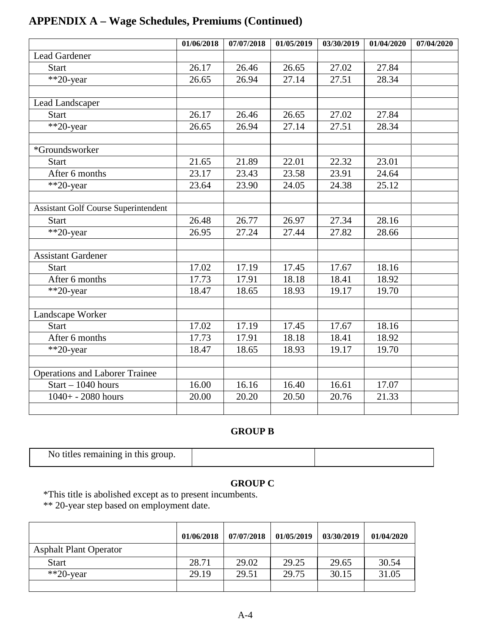|                                             | 01/06/2018 | 07/07/2018 | 01/05/2019 | 03/30/2019 | 01/04/2020 | 07/04/2020 |
|---------------------------------------------|------------|------------|------------|------------|------------|------------|
| <b>Lead Gardener</b>                        |            |            |            |            |            |            |
| <b>Start</b>                                | 26.17      | 26.46      | 26.65      | 27.02      | 27.84      |            |
| **20-year                                   | 26.65      | 26.94      | 27.14      | 27.51      | 28.34      |            |
|                                             |            |            |            |            |            |            |
| Lead Landscaper                             |            |            |            |            |            |            |
| <b>Start</b>                                | 26.17      | 26.46      | 26.65      | 27.02      | 27.84      |            |
| $**20$ -year                                | 26.65      | 26.94      | 27.14      | 27.51      | 28.34      |            |
|                                             |            |            |            |            |            |            |
| *Groundsworker                              |            |            |            |            |            |            |
| <b>Start</b>                                | 21.65      | 21.89      | 22.01      | 22.32      | 23.01      |            |
| After 6 months                              | 23.17      | 23.43      | 23.58      | 23.91      | 24.64      |            |
| $**20$ -year                                | 23.64      | 23.90      | 24.05      | 24.38      | 25.12      |            |
|                                             |            |            |            |            |            |            |
| <b>Assistant Golf Course Superintendent</b> |            |            |            |            |            |            |
| <b>Start</b>                                | 26.48      | 26.77      | 26.97      | 27.34      | 28.16      |            |
| **20-year                                   | 26.95      | 27.24      | 27.44      | 27.82      | 28.66      |            |
|                                             |            |            |            |            |            |            |
| <b>Assistant Gardener</b>                   |            |            |            |            |            |            |
| <b>Start</b>                                | 17.02      | 17.19      | 17.45      | 17.67      | 18.16      |            |
| After 6 months                              | 17.73      | 17.91      | 18.18      | 18.41      | 18.92      |            |
| **20-year                                   | 18.47      | 18.65      | 18.93      | 19.17      | 19.70      |            |
|                                             |            |            |            |            |            |            |
| Landscape Worker                            |            |            |            |            |            |            |
| <b>Start</b>                                | 17.02      | 17.19      | 17.45      | 17.67      | 18.16      |            |
| After 6 months                              | 17.73      | 17.91      | 18.18      | 18.41      | 18.92      |            |
| **20-year                                   | 18.47      | 18.65      | 18.93      | 19.17      | 19.70      |            |
|                                             |            |            |            |            |            |            |
| <b>Operations and Laborer Trainee</b>       |            |            |            |            |            |            |
| $Start - 1040 hours$                        | 16.00      | 16.16      | 16.40      | 16.61      | 17.07      |            |
| $1040 + -2080$ hours                        | 20.00      | 20.20      | 20.50      | 20.76      | 21.33      |            |
|                                             |            |            |            |            |            |            |

#### **GROUP B**

| No titles remaining in this group. |  |
|------------------------------------|--|

#### **GROUP C**

\*This title is abolished except as to present incumbents.

\*\* 20-year step based on employment date.

 $\overline{\phantom{a}}$ 

|                               | 01/06/2018 | 07/07/2018 | 01/05/2019 | 03/30/2019 | 01/04/2020 |
|-------------------------------|------------|------------|------------|------------|------------|
| <b>Asphalt Plant Operator</b> |            |            |            |            |            |
| <b>Start</b>                  | 28.71      | 29.02      | 29.25      | 29.65      | 30.54      |
| $*$ <sup>20</sup> -year       | 29.19      | 29.51      | 29.75      | 30.15      | 31.05      |
|                               |            |            |            |            |            |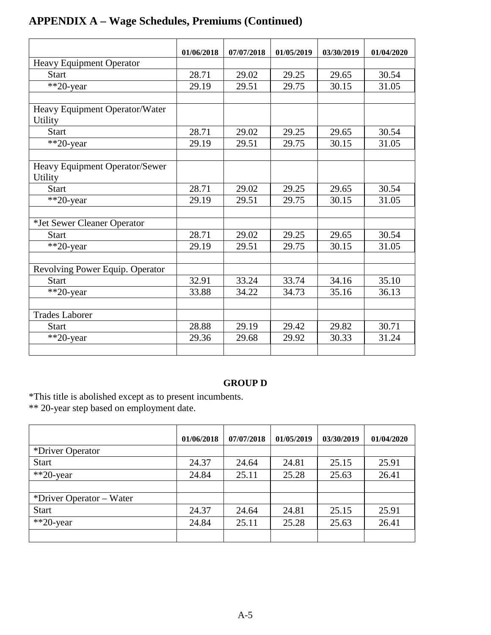|                                                  | 01/06/2018 | 07/07/2018 | 01/05/2019 | 03/30/2019 | 01/04/2020 |
|--------------------------------------------------|------------|------------|------------|------------|------------|
| <b>Heavy Equipment Operator</b>                  |            |            |            |            |            |
| <b>Start</b>                                     | 28.71      | 29.02      | 29.25      | 29.65      | 30.54      |
| **20-year                                        | 29.19      | 29.51      | 29.75      | 30.15      | 31.05      |
|                                                  |            |            |            |            |            |
| Heavy Equipment Operator/Water<br>Utility        |            |            |            |            |            |
| <b>Start</b>                                     | 28.71      | 29.02      | 29.25      | 29.65      | 30.54      |
| **20-year                                        | 29.19      | 29.51      | 29.75      | 30.15      | 31.05      |
|                                                  |            |            |            |            |            |
| Heavy Equipment Operator/Sewer<br><b>Utility</b> |            |            |            |            |            |
| <b>Start</b>                                     | 28.71      | 29.02      | 29.25      | 29.65      | 30.54      |
| **20-year                                        | 29.19      | 29.51      | 29.75      | 30.15      | 31.05      |
|                                                  |            |            |            |            |            |
| *Jet Sewer Cleaner Operator                      |            |            |            |            |            |
| <b>Start</b>                                     | 28.71      | 29.02      | 29.25      | 29.65      | 30.54      |
| $*$ <sup>20</sup> -year                          | 29.19      | 29.51      | 29.75      | 30.15      | 31.05      |
|                                                  |            |            |            |            |            |
| Revolving Power Equip. Operator                  |            |            |            |            |            |
| <b>Start</b>                                     | 32.91      | 33.24      | 33.74      | 34.16      | 35.10      |
| **20-year                                        | 33.88      | 34.22      | 34.73      | 35.16      | 36.13      |
|                                                  |            |            |            |            |            |
| <b>Trades Laborer</b>                            |            |            |            |            |            |
| <b>Start</b>                                     | 28.88      | 29.19      | 29.42      | 29.82      | 30.71      |
| $*$ 20-year                                      | 29.36      | 29.68      | 29.92      | 30.33      | 31.24      |
|                                                  |            |            |            |            |            |

#### **GROUP D**

\*This title is abolished except as to present incumbents.

\*\* 20-year step based on employment date.

|                          | 01/06/2018 | 07/07/2018 | 01/05/2019 | 03/30/2019 | 01/04/2020 |
|--------------------------|------------|------------|------------|------------|------------|
| *Driver Operator         |            |            |            |            |            |
| <b>Start</b>             | 24.37      | 24.64      | 24.81      | 25.15      | 25.91      |
| $*$ 20-year              | 24.84      | 25.11      | 25.28      | 25.63      | 26.41      |
|                          |            |            |            |            |            |
| *Driver Operator – Water |            |            |            |            |            |
| <b>Start</b>             | 24.37      | 24.64      | 24.81      | 25.15      | 25.91      |
| $*$ 20-year              | 24.84      | 25.11      | 25.28      | 25.63      | 26.41      |
|                          |            |            |            |            |            |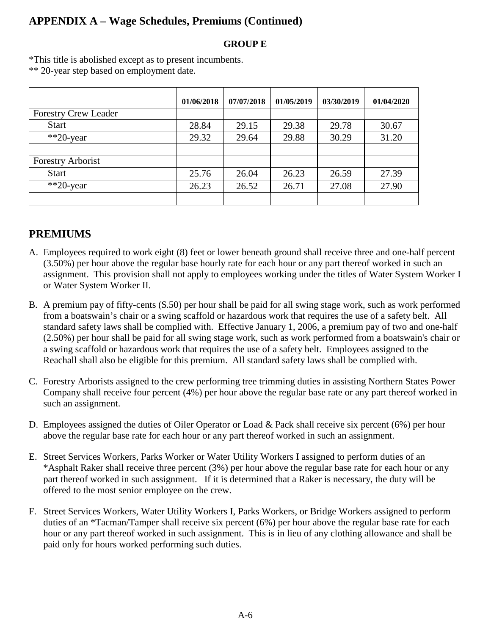#### **GROUP E**

\*This title is abolished except as to present incumbents. \*\* 20-year step based on employment date.

|                             | 01/06/2018 | 07/07/2018 | 01/05/2019 | 03/30/2019 | 01/04/2020 |
|-----------------------------|------------|------------|------------|------------|------------|
| <b>Forestry Crew Leader</b> |            |            |            |            |            |
| <b>Start</b>                | 28.84      | 29.15      | 29.38      | 29.78      | 30.67      |
| $*$ $20$ -year              | 29.32      | 29.64      | 29.88      | 30.29      | 31.20      |
|                             |            |            |            |            |            |
| <b>Forestry Arborist</b>    |            |            |            |            |            |
| <b>Start</b>                | 25.76      | 26.04      | 26.23      | 26.59      | 27.39      |
| $*$ 20-year                 | 26.23      | 26.52      | 26.71      | 27.08      | 27.90      |
|                             |            |            |            |            |            |

### **PREMIUMS**

- A. Employees required to work eight (8) feet or lower beneath ground shall receive three and one-half percent (3.50%) per hour above the regular base hourly rate for each hour or any part thereof worked in such an assignment. This provision shall not apply to employees working under the titles of Water System Worker I or Water System Worker II.
- B. A premium pay of fifty-cents (\$.50) per hour shall be paid for all swing stage work, such as work performed from a boatswain's chair or a swing scaffold or hazardous work that requires the use of a safety belt. All standard safety laws shall be complied with. Effective January 1, 2006, a premium pay of two and one-half (2.50%) per hour shall be paid for all swing stage work, such as work performed from a boatswain's chair or a swing scaffold or hazardous work that requires the use of a safety belt. Employees assigned to the Reachall shall also be eligible for this premium. All standard safety laws shall be complied with.
- C. Forestry Arborists assigned to the crew performing tree trimming duties in assisting Northern States Power Company shall receive four percent (4%) per hour above the regular base rate or any part thereof worked in such an assignment.
- D. Employees assigned the duties of Oiler Operator or Load & Pack shall receive six percent (6%) per hour above the regular base rate for each hour or any part thereof worked in such an assignment.
- E. Street Services Workers, Parks Worker or Water Utility Workers I assigned to perform duties of an \*Asphalt Raker shall receive three percent (3%) per hour above the regular base rate for each hour or any part thereof worked in such assignment. If it is determined that a Raker is necessary, the duty will be offered to the most senior employee on the crew.
- F. Street Services Workers, Water Utility Workers I, Parks Workers, or Bridge Workers assigned to perform duties of an \*Tacman/Tamper shall receive six percent (6%) per hour above the regular base rate for each hour or any part thereof worked in such assignment. This is in lieu of any clothing allowance and shall be paid only for hours worked performing such duties.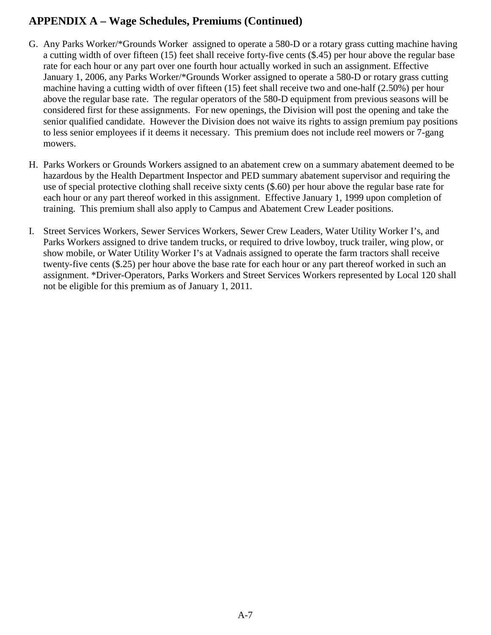- G. Any Parks Worker/\*Grounds Worker assigned to operate a 580-D or a rotary grass cutting machine having a cutting width of over fifteen (15) feet shall receive forty-five cents (\$.45) per hour above the regular base rate for each hour or any part over one fourth hour actually worked in such an assignment. Effective January 1, 2006, any Parks Worker/\*Grounds Worker assigned to operate a 580-D or rotary grass cutting machine having a cutting width of over fifteen (15) feet shall receive two and one-half (2.50%) per hour above the regular base rate. The regular operators of the 580-D equipment from previous seasons will be considered first for these assignments. For new openings, the Division will post the opening and take the senior qualified candidate. However the Division does not waive its rights to assign premium pay positions to less senior employees if it deems it necessary. This premium does not include reel mowers or 7-gang mowers.
- H. Parks Workers or Grounds Workers assigned to an abatement crew on a summary abatement deemed to be hazardous by the Health Department Inspector and PED summary abatement supervisor and requiring the use of special protective clothing shall receive sixty cents (\$.60) per hour above the regular base rate for each hour or any part thereof worked in this assignment. Effective January 1, 1999 upon completion of training. This premium shall also apply to Campus and Abatement Crew Leader positions.
- I. Street Services Workers, Sewer Services Workers, Sewer Crew Leaders, Water Utility Worker I's, and Parks Workers assigned to drive tandem trucks, or required to drive lowboy, truck trailer, wing plow, or show mobile, or Water Utility Worker I's at Vadnais assigned to operate the farm tractors shall receive twenty-five cents (\$.25) per hour above the base rate for each hour or any part thereof worked in such an assignment. \*Driver-Operators, Parks Workers and Street Services Workers represented by Local 120 shall not be eligible for this premium as of January 1, 2011.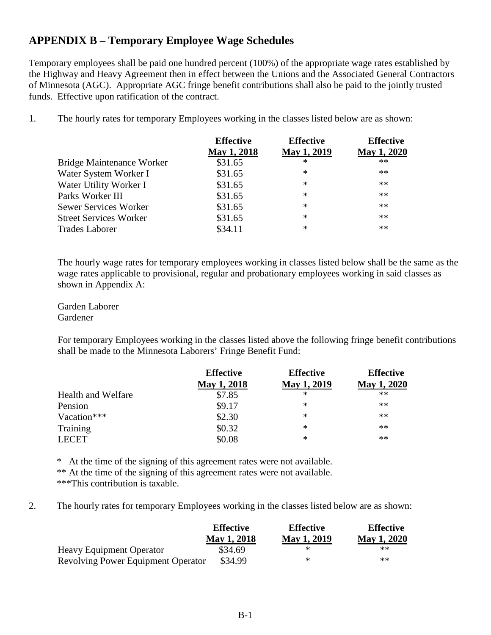#### **APPENDIX B – Temporary Employee Wage Schedules**

Temporary employees shall be paid one hundred percent (100%) of the appropriate wage rates established by the Highway and Heavy Agreement then in effect between the Unions and the Associated General Contractors of Minnesota (AGC). Appropriate AGC fringe benefit contributions shall also be paid to the jointly trusted funds. Effective upon ratification of the contract.

1. The hourly rates for temporary Employees working in the classes listed below are as shown:

<span id="page-35-0"></span>

|                               | <b>Effective</b>   | <b>Effective</b> | <b>Effective</b> |
|-------------------------------|--------------------|------------------|------------------|
|                               | <b>May 1, 2018</b> | May 1, 2019      | May 1, 2020      |
| Bridge Maintenance Worker     | \$31.65            | ∗                | $**$             |
| Water System Worker I         | \$31.65            | ∗                | **               |
| Water Utility Worker I        | \$31.65            | ∗                | $**$             |
| Parks Worker III              | \$31.65            | $\ast$           | $***$            |
| <b>Sewer Services Worker</b>  | \$31.65            | $\ast$           | $***$            |
| <b>Street Services Worker</b> | \$31.65            | $\ast$           | $**$             |
| <b>Trades Laborer</b>         | \$34.11            | $\ast$           | **               |

The hourly wage rates for temporary employees working in classes listed below shall be the same as the wage rates applicable to provisional, regular and probationary employees working in said classes as shown in Appendix A:

Garden Laborer Gardener

For temporary Employees working in the classes listed above the following fringe benefit contributions shall be made to the Minnesota Laborers' Fringe Benefit Fund:

| <b>Effective</b> | <b>Effective</b>   | <b>Effective</b> |
|------------------|--------------------|------------------|
| May 1, 2018      | <b>May 1, 2019</b> | May 1, 2020      |
| \$7.85           | ∗                  | $**$             |
| \$9.17           | ∗                  | **               |
| \$2.30           | ∗                  | **               |
| \$0.32           | ∗                  | **               |
| \$0.08           | ∗                  | $**$             |
|                  |                    |                  |

\* At the time of the signing of this agreement rates were not available.

\*\* At the time of the signing of this agreement rates were not available. \*\*\*This contribution is taxable.

2. The hourly rates for temporary Employees working in the classes listed below are as shown:

|                                           | <b>Effective</b>   | <b>Effective</b>   | <b>Effective</b>   |
|-------------------------------------------|--------------------|--------------------|--------------------|
|                                           | <b>May 1, 2018</b> | <b>May 1, 2019</b> | <b>May 1, 2020</b> |
| <b>Heavy Equipment Operator</b>           | \$34.69            | ж                  | **                 |
| <b>Revolving Power Equipment Operator</b> | \$34.99            | *                  | **                 |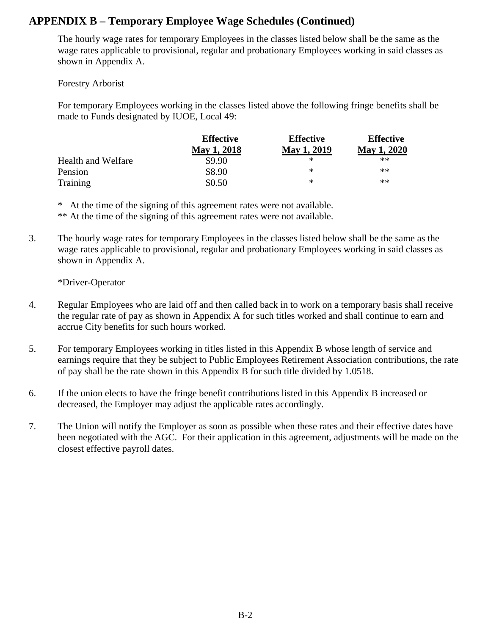#### **APPENDIX B – Temporary Employee Wage Schedules (Continued)**

The hourly wage rates for temporary Employees in the classes listed below shall be the same as the wage rates applicable to provisional, regular and probationary Employees working in said classes as shown in Appendix A.

Forestry Arborist

For temporary Employees working in the classes listed above the following fringe benefits shall be made to Funds designated by IUOE, Local 49:

|                    | <b>Effective</b>   | <b>Effective</b>   | <b>Effective</b>   |  |
|--------------------|--------------------|--------------------|--------------------|--|
|                    | <b>May 1, 2018</b> | <b>May 1, 2019</b> | <b>May 1, 2020</b> |  |
| Health and Welfare | \$9.90             | ∗                  | **                 |  |
| Pension            | \$8.90             | ∗                  | **                 |  |
| Training           | \$0.50             | ∗                  | **                 |  |

\* At the time of the signing of this agreement rates were not available.

\*\* At the time of the signing of this agreement rates were not available.

3. The hourly wage rates for temporary Employees in the classes listed below shall be the same as the wage rates applicable to provisional, regular and probationary Employees working in said classes as shown in Appendix A.

\*Driver-Operator

- 4. Regular Employees who are laid off and then called back in to work on a temporary basis shall receive the regular rate of pay as shown in Appendix A for such titles worked and shall continue to earn and accrue City benefits for such hours worked.
- 5. For temporary Employees working in titles listed in this Appendix B whose length of service and earnings require that they be subject to Public Employees Retirement Association contributions, the rate of pay shall be the rate shown in this Appendix B for such title divided by 1.0518.
- 6. If the union elects to have the fringe benefit contributions listed in this Appendix B increased or decreased, the Employer may adjust the applicable rates accordingly.
- 7. The Union will notify the Employer as soon as possible when these rates and their effective dates have been negotiated with the AGC. For their application in this agreement, adjustments will be made on the closest effective payroll dates.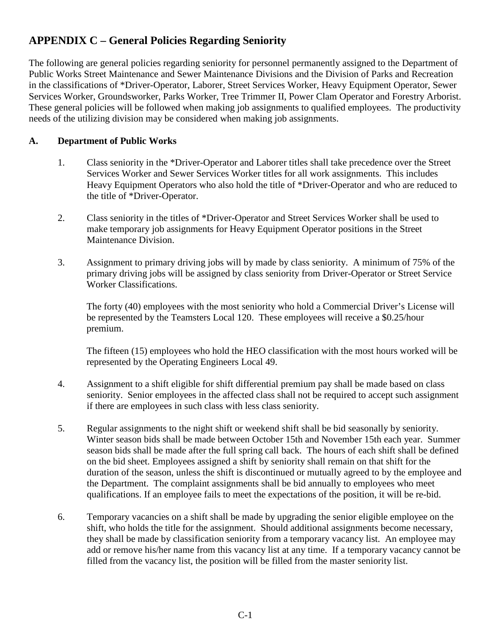### <span id="page-37-0"></span>**APPENDIX C – General Policies Regarding Seniority**

The following are general policies regarding seniority for personnel permanently assigned to the Department of Public Works Street Maintenance and Sewer Maintenance Divisions and the Division of Parks and Recreation in the classifications of \*Driver-Operator, Laborer, Street Services Worker, Heavy Equipment Operator, Sewer Services Worker, Groundsworker, Parks Worker, Tree Trimmer II, Power Clam Operator and Forestry Arborist. These general policies will be followed when making job assignments to qualified employees. The productivity needs of the utilizing division may be considered when making job assignments.

#### **A. Department of Public Works**

- 1. Class seniority in the \*Driver-Operator and Laborer titles shall take precedence over the Street Services Worker and Sewer Services Worker titles for all work assignments. This includes Heavy Equipment Operators who also hold the title of \*Driver-Operator and who are reduced to the title of \*Driver-Operator.
- 2. Class seniority in the titles of \*Driver-Operator and Street Services Worker shall be used to make temporary job assignments for Heavy Equipment Operator positions in the Street Maintenance Division.
- 3. Assignment to primary driving jobs will by made by class seniority. A minimum of 75% of the primary driving jobs will be assigned by class seniority from Driver-Operator or Street Service Worker Classifications.

The forty (40) employees with the most seniority who hold a Commercial Driver's License will be represented by the Teamsters Local 120. These employees will receive a \$0.25/hour premium.

The fifteen (15) employees who hold the HEO classification with the most hours worked will be represented by the Operating Engineers Local 49.

- 4. Assignment to a shift eligible for shift differential premium pay shall be made based on class seniority. Senior employees in the affected class shall not be required to accept such assignment if there are employees in such class with less class seniority.
- 5. Regular assignments to the night shift or weekend shift shall be bid seasonally by seniority. Winter season bids shall be made between October 15th and November 15th each year. Summer season bids shall be made after the full spring call back. The hours of each shift shall be defined on the bid sheet. Employees assigned a shift by seniority shall remain on that shift for the duration of the season, unless the shift is discontinued or mutually agreed to by the employee and the Department. The complaint assignments shall be bid annually to employees who meet qualifications. If an employee fails to meet the expectations of the position, it will be re-bid.
- 6. Temporary vacancies on a shift shall be made by upgrading the senior eligible employee on the shift, who holds the title for the assignment. Should additional assignments become necessary, they shall be made by classification seniority from a temporary vacancy list. An employee may add or remove his/her name from this vacancy list at any time. If a temporary vacancy cannot be filled from the vacancy list, the position will be filled from the master seniority list.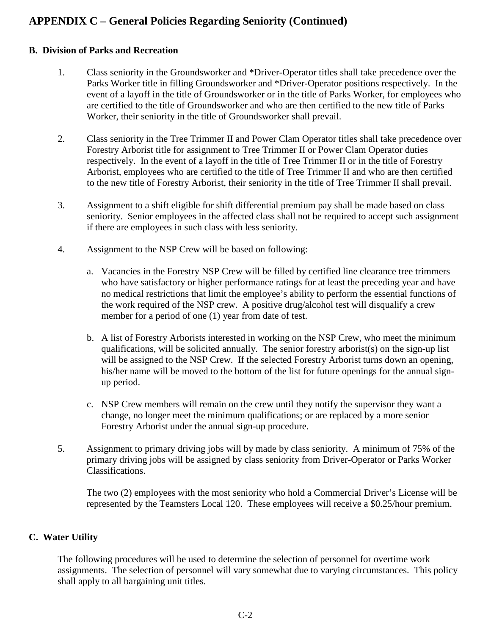### **APPENDIX C – General Policies Regarding Seniority (Continued)**

#### **B. Division of Parks and Recreation**

- 1. Class seniority in the Groundsworker and \*Driver-Operator titles shall take precedence over the Parks Worker title in filling Groundsworker and \*Driver-Operator positions respectively. In the event of a layoff in the title of Groundsworker or in the title of Parks Worker, for employees who are certified to the title of Groundsworker and who are then certified to the new title of Parks Worker, their seniority in the title of Groundsworker shall prevail.
- 2. Class seniority in the Tree Trimmer II and Power Clam Operator titles shall take precedence over Forestry Arborist title for assignment to Tree Trimmer II or Power Clam Operator duties respectively. In the event of a layoff in the title of Tree Trimmer II or in the title of Forestry Arborist, employees who are certified to the title of Tree Trimmer II and who are then certified to the new title of Forestry Arborist, their seniority in the title of Tree Trimmer II shall prevail.
- 3. Assignment to a shift eligible for shift differential premium pay shall be made based on class seniority. Senior employees in the affected class shall not be required to accept such assignment if there are employees in such class with less seniority.
- 4. Assignment to the NSP Crew will be based on following:
	- a. Vacancies in the Forestry NSP Crew will be filled by certified line clearance tree trimmers who have satisfactory or higher performance ratings for at least the preceding year and have no medical restrictions that limit the employee's ability to perform the essential functions of the work required of the NSP crew. A positive drug/alcohol test will disqualify a crew member for a period of one (1) year from date of test.
	- b. A list of Forestry Arborists interested in working on the NSP Crew, who meet the minimum qualifications, will be solicited annually. The senior forestry arborist(s) on the sign-up list will be assigned to the NSP Crew. If the selected Forestry Arborist turns down an opening, his/her name will be moved to the bottom of the list for future openings for the annual signup period.
	- c. NSP Crew members will remain on the crew until they notify the supervisor they want a change, no longer meet the minimum qualifications; or are replaced by a more senior Forestry Arborist under the annual sign-up procedure.
- 5. Assignment to primary driving jobs will by made by class seniority. A minimum of 75% of the primary driving jobs will be assigned by class seniority from Driver-Operator or Parks Worker Classifications.

The two (2) employees with the most seniority who hold a Commercial Driver's License will be represented by the Teamsters Local 120. These employees will receive a \$0.25/hour premium.

#### **C. Water Utility**

The following procedures will be used to determine the selection of personnel for overtime work assignments. The selection of personnel will vary somewhat due to varying circumstances. This policy shall apply to all bargaining unit titles.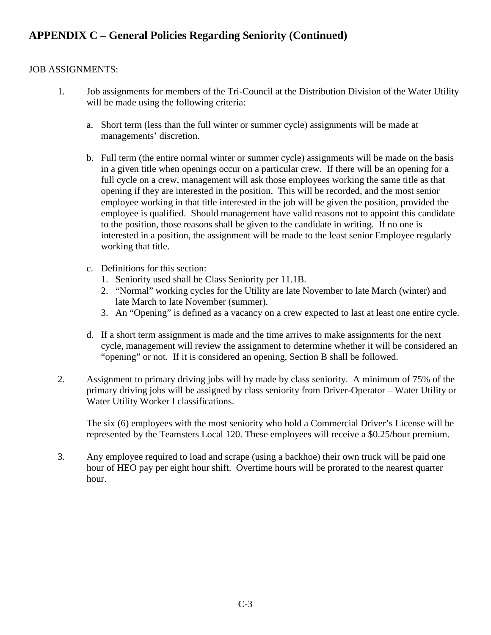### **APPENDIX C – General Policies Regarding Seniority (Continued)**

#### JOB ASSIGNMENTS:

- 1. Job assignments for members of the Tri-Council at the Distribution Division of the Water Utility will be made using the following criteria:
	- a. Short term (less than the full winter or summer cycle) assignments will be made at managements' discretion.
	- b. Full term (the entire normal winter or summer cycle) assignments will be made on the basis in a given title when openings occur on a particular crew. If there will be an opening for a full cycle on a crew, management will ask those employees working the same title as that opening if they are interested in the position. This will be recorded, and the most senior employee working in that title interested in the job will be given the position, provided the employee is qualified. Should management have valid reasons not to appoint this candidate to the position, those reasons shall be given to the candidate in writing. If no one is interested in a position, the assignment will be made to the least senior Employee regularly working that title.
	- c. Definitions for this section:
		- 1. Seniority used shall be Class Seniority per 11.1B.
		- 2. "Normal" working cycles for the Utility are late November to late March (winter) and late March to late November (summer).
		- 3. An "Opening" is defined as a vacancy on a crew expected to last at least one entire cycle.
	- d. If a short term assignment is made and the time arrives to make assignments for the next cycle, management will review the assignment to determine whether it will be considered an "opening" or not. If it is considered an opening, Section B shall be followed.
- 2. Assignment to primary driving jobs will by made by class seniority. A minimum of 75% of the primary driving jobs will be assigned by class seniority from Driver-Operator – Water Utility or Water Utility Worker I classifications.

The six (6) employees with the most seniority who hold a Commercial Driver's License will be represented by the Teamsters Local 120. These employees will receive a \$0.25/hour premium.

3. Any employee required to load and scrape (using a backhoe) their own truck will be paid one hour of HEO pay per eight hour shift. Overtime hours will be prorated to the nearest quarter hour.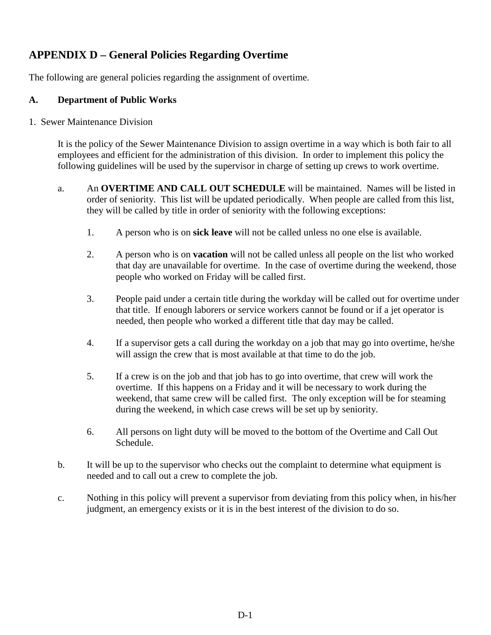### **APPENDIX D – General Policies Regarding Overtime**

The following are general policies regarding the assignment of overtime.

#### **A. Department of Public Works**

1. Sewer Maintenance Division

<span id="page-40-0"></span>It is the policy of the Sewer Maintenance Division to assign overtime in a way which is both fair to all employees and efficient for the administration of this division. In order to implement this policy the following guidelines will be used by the supervisor in charge of setting up crews to work overtime.

- a. An **OVERTIME AND CALL OUT SCHEDULE** will be maintained. Names will be listed in order of seniority. This list will be updated periodically. When people are called from this list, they will be called by title in order of seniority with the following exceptions:
	- 1. A person who is on **sick leave** will not be called unless no one else is available.
	- 2. A person who is on **vacation** will not be called unless all people on the list who worked that day are unavailable for overtime. In the case of overtime during the weekend, those people who worked on Friday will be called first.
	- 3. People paid under a certain title during the workday will be called out for overtime under that title. If enough laborers or service workers cannot be found or if a jet operator is needed, then people who worked a different title that day may be called.
	- 4. If a supervisor gets a call during the workday on a job that may go into overtime, he/she will assign the crew that is most available at that time to do the job.
	- 5. If a crew is on the job and that job has to go into overtime, that crew will work the overtime. If this happens on a Friday and it will be necessary to work during the weekend, that same crew will be called first. The only exception will be for steaming during the weekend, in which case crews will be set up by seniority.
	- 6. All persons on light duty will be moved to the bottom of the Overtime and Call Out Schedule.
- b. It will be up to the supervisor who checks out the complaint to determine what equipment is needed and to call out a crew to complete the job.
- c. Nothing in this policy will prevent a supervisor from deviating from this policy when, in his/her judgment, an emergency exists or it is in the best interest of the division to do so.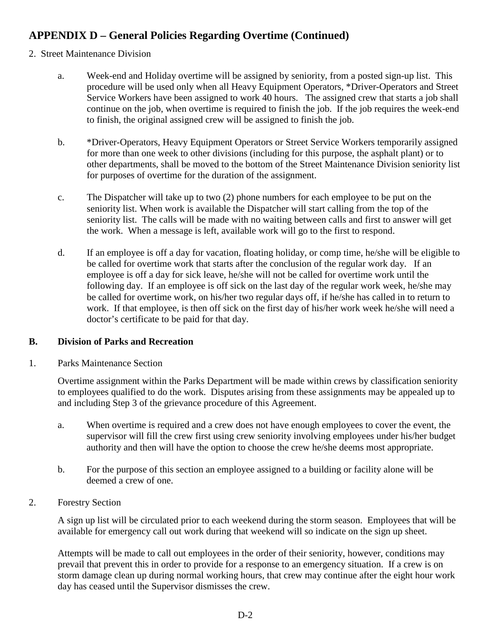#### 2. Street Maintenance Division

- a. Week-end and Holiday overtime will be assigned by seniority, from a posted sign-up list. This procedure will be used only when all Heavy Equipment Operators, \*Driver-Operators and Street Service Workers have been assigned to work 40 hours. The assigned crew that starts a job shall continue on the job, when overtime is required to finish the job. If the job requires the week-end to finish, the original assigned crew will be assigned to finish the job.
- b. \*Driver-Operators, Heavy Equipment Operators or Street Service Workers temporarily assigned for more than one week to other divisions (including for this purpose, the asphalt plant) or to other departments, shall be moved to the bottom of the Street Maintenance Division seniority list for purposes of overtime for the duration of the assignment.
- c. The Dispatcher will take up to two (2) phone numbers for each employee to be put on the seniority list. When work is available the Dispatcher will start calling from the top of the seniority list. The calls will be made with no waiting between calls and first to answer will get the work. When a message is left, available work will go to the first to respond.
- d. If an employee is off a day for vacation, floating holiday, or comp time, he/she will be eligible to be called for overtime work that starts after the conclusion of the regular work day. If an employee is off a day for sick leave, he/she will not be called for overtime work until the following day. If an employee is off sick on the last day of the regular work week, he/she may be called for overtime work, on his/her two regular days off, if he/she has called in to return to work. If that employee, is then off sick on the first day of his/her work week he/she will need a doctor's certificate to be paid for that day.

#### **B. Division of Parks and Recreation**

1. Parks Maintenance Section

Overtime assignment within the Parks Department will be made within crews by classification seniority to employees qualified to do the work. Disputes arising from these assignments may be appealed up to and including Step 3 of the grievance procedure of this Agreement.

- a. When overtime is required and a crew does not have enough employees to cover the event, the supervisor will fill the crew first using crew seniority involving employees under his/her budget authority and then will have the option to choose the crew he/she deems most appropriate.
- b. For the purpose of this section an employee assigned to a building or facility alone will be deemed a crew of one.
- 2. Forestry Section

A sign up list will be circulated prior to each weekend during the storm season. Employees that will be available for emergency call out work during that weekend will so indicate on the sign up sheet.

Attempts will be made to call out employees in the order of their seniority, however, conditions may prevail that prevent this in order to provide for a response to an emergency situation. If a crew is on storm damage clean up during normal working hours, that crew may continue after the eight hour work day has ceased until the Supervisor dismisses the crew.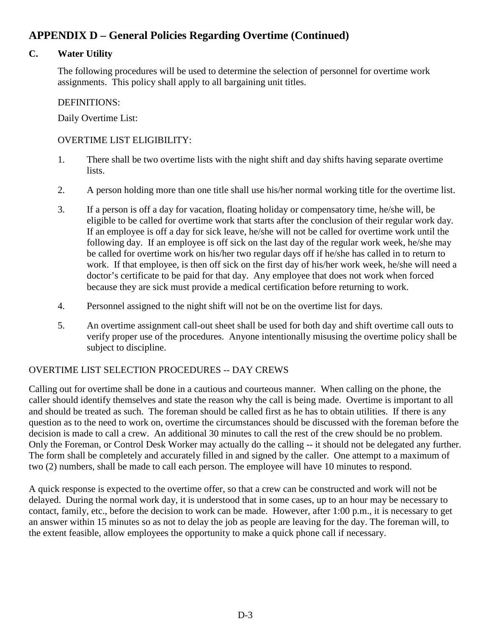#### **C. Water Utility**

The following procedures will be used to determine the selection of personnel for overtime work assignments. This policy shall apply to all bargaining unit titles.

#### DEFINITIONS:

Daily Overtime List:

#### OVERTIME LIST ELIGIBILITY:

- 1. There shall be two overtime lists with the night shift and day shifts having separate overtime lists.
- 2. A person holding more than one title shall use his/her normal working title for the overtime list.
- 3. If a person is off a day for vacation, floating holiday or compensatory time, he/she will, be eligible to be called for overtime work that starts after the conclusion of their regular work day. If an employee is off a day for sick leave, he/she will not be called for overtime work until the following day. If an employee is off sick on the last day of the regular work week, he/she may be called for overtime work on his/her two regular days off if he/she has called in to return to work. If that employee, is then off sick on the first day of his/her work week, he/she will need a doctor's certificate to be paid for that day. Any employee that does not work when forced because they are sick must provide a medical certification before returning to work.
- 4. Personnel assigned to the night shift will not be on the overtime list for days.
- 5. An overtime assignment call-out sheet shall be used for both day and shift overtime call outs to verify proper use of the procedures. Anyone intentionally misusing the overtime policy shall be subject to discipline.

#### OVERTIME LIST SELECTION PROCEDURES -- DAY CREWS

Calling out for overtime shall be done in a cautious and courteous manner. When calling on the phone, the caller should identify themselves and state the reason why the call is being made. Overtime is important to all and should be treated as such. The foreman should be called first as he has to obtain utilities. If there is any question as to the need to work on, overtime the circumstances should be discussed with the foreman before the decision is made to call a crew. An additional 30 minutes to call the rest of the crew should be no problem. Only the Foreman, or Control Desk Worker may actually do the calling -- it should not be delegated any further. The form shall be completely and accurately filled in and signed by the caller. One attempt to a maximum of two (2) numbers, shall be made to call each person. The employee will have 10 minutes to respond.

A quick response is expected to the overtime offer, so that a crew can be constructed and work will not be delayed. During the normal work day, it is understood that in some cases, up to an hour may be necessary to contact, family, etc., before the decision to work can be made. However, after 1:00 p.m., it is necessary to get an answer within 15 minutes so as not to delay the job as people are leaving for the day. The foreman will, to the extent feasible, allow employees the opportunity to make a quick phone call if necessary.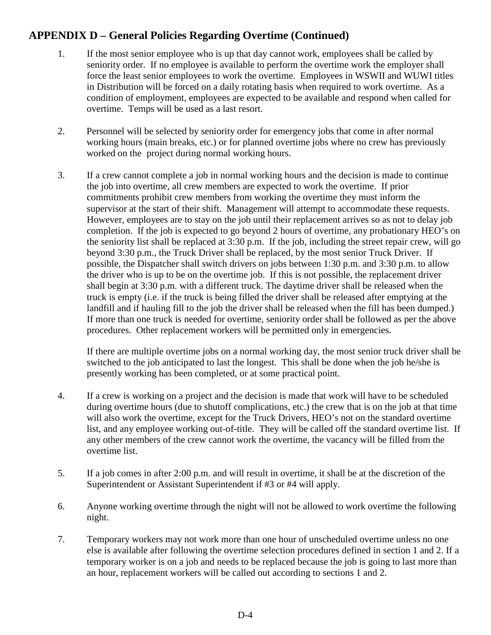- 1. If the most senior employee who is up that day cannot work, employees shall be called by seniority order. If no employee is available to perform the overtime work the employer shall force the least senior employees to work the overtime. Employees in WSWII and WUWI titles in Distribution will be forced on a daily rotating basis when required to work overtime. As a condition of employment, employees are expected to be available and respond when called for overtime. Temps will be used as a last resort.
- 2. Personnel will be selected by seniority order for emergency jobs that come in after normal working hours (main breaks, etc.) or for planned overtime jobs where no crew has previously worked on the project during normal working hours.
- 3. If a crew cannot complete a job in normal working hours and the decision is made to continue the job into overtime, all crew members are expected to work the overtime. If prior commitments prohibit crew members from working the overtime they must inform the supervisor at the start of their shift. Management will attempt to accommodate these requests. However, employees are to stay on the job until their replacement arrives so as not to delay job completion. If the job is expected to go beyond 2 hours of overtime, any probationary HEO's on the seniority list shall be replaced at 3:30 p.m. If the job, including the street repair crew, will go beyond 3:30 p.m., the Truck Driver shall be replaced, by the most senior Truck Driver. If possible, the Dispatcher shall switch drivers on jobs between 1:30 p.m. and 3:30 p.m. to allow the driver who is up to be on the overtime job. If this is not possible, the replacement driver shall begin at 3:30 p.m. with a different truck. The daytime driver shall be released when the truck is empty (i.e. if the truck is being filled the driver shall be released after emptying at the landfill and if hauling fill to the job the driver shall be released when the fill has been dumped.) If more than one truck is needed for overtime, seniority order shall be followed as per the above procedures. Other replacement workers will be permitted only in emergencies.

If there are multiple overtime jobs on a normal working day, the most senior truck driver shall be switched to the job anticipated to last the longest. This shall be done when the job he/she is presently working has been completed, or at some practical point.

- 4. If a crew is working on a project and the decision is made that work will have to be scheduled during overtime hours (due to shutoff complications, etc.) the crew that is on the job at that time will also work the overtime, except for the Truck Drivers, HEO's not on the standard overtime list, and any employee working out-of-title. They will be called off the standard overtime list. If any other members of the crew cannot work the overtime, the vacancy will be filled from the overtime list.
- 5. If a job comes in after 2:00 p.m. and will result in overtime, it shall be at the discretion of the Superintendent or Assistant Superintendent if #3 or #4 will apply.
- 6. Anyone working overtime through the night will not be allowed to work overtime the following night.
- 7. Temporary workers may not work more than one hour of unscheduled overtime unless no one else is available after following the overtime selection procedures defined in section 1 and 2. If a temporary worker is on a job and needs to be replaced because the job is going to last more than an hour, replacement workers will be called out according to sections 1 and 2.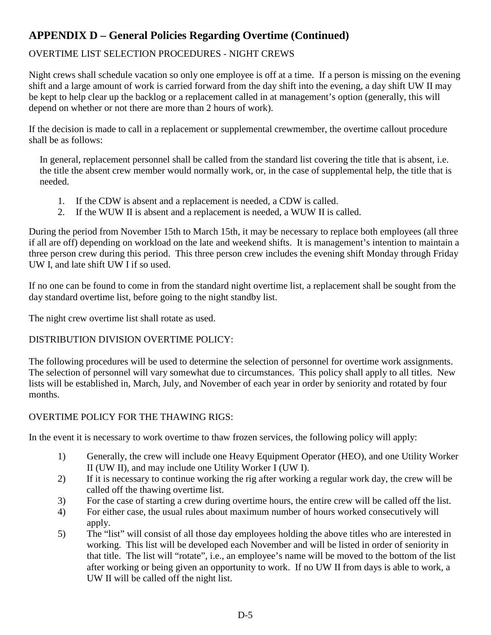#### OVERTIME LIST SELECTION PROCEDURES - NIGHT CREWS

Night crews shall schedule vacation so only one employee is off at a time. If a person is missing on the evening shift and a large amount of work is carried forward from the day shift into the evening, a day shift UW II may be kept to help clear up the backlog or a replacement called in at management's option (generally, this will depend on whether or not there are more than 2 hours of work).

If the decision is made to call in a replacement or supplemental crewmember, the overtime callout procedure shall be as follows:

In general, replacement personnel shall be called from the standard list covering the title that is absent, i.e. the title the absent crew member would normally work, or, in the case of supplemental help, the title that is needed.

- 1. If the CDW is absent and a replacement is needed, a CDW is called.
- 2. If the WUW II is absent and a replacement is needed, a WUW II is called.

During the period from November 15th to March 15th, it may be necessary to replace both employees (all three if all are off) depending on workload on the late and weekend shifts. It is management's intention to maintain a three person crew during this period. This three person crew includes the evening shift Monday through Friday UW I, and late shift UW I if so used.

If no one can be found to come in from the standard night overtime list, a replacement shall be sought from the day standard overtime list, before going to the night standby list.

The night crew overtime list shall rotate as used.

#### DISTRIBUTION DIVISION OVERTIME POLICY:

The following procedures will be used to determine the selection of personnel for overtime work assignments. The selection of personnel will vary somewhat due to circumstances. This policy shall apply to all titles. New lists will be established in, March, July, and November of each year in order by seniority and rotated by four months.

#### OVERTIME POLICY FOR THE THAWING RIGS:

In the event it is necessary to work overtime to thaw frozen services, the following policy will apply:

- 1) Generally, the crew will include one Heavy Equipment Operator (HEO), and one Utility Worker II (UW II), and may include one Utility Worker I (UW I).
- 2) If it is necessary to continue working the rig after working a regular work day, the crew will be called off the thawing overtime list.
- 3) For the case of starting a crew during overtime hours, the entire crew will be called off the list.
- 4) For either case, the usual rules about maximum number of hours worked consecutively will apply.
- 5) The "list" will consist of all those day employees holding the above titles who are interested in working. This list will be developed each November and will be listed in order of seniority in that title. The list will "rotate", i.e., an employee's name will be moved to the bottom of the list after working or being given an opportunity to work. If no UW II from days is able to work, a UW II will be called off the night list.